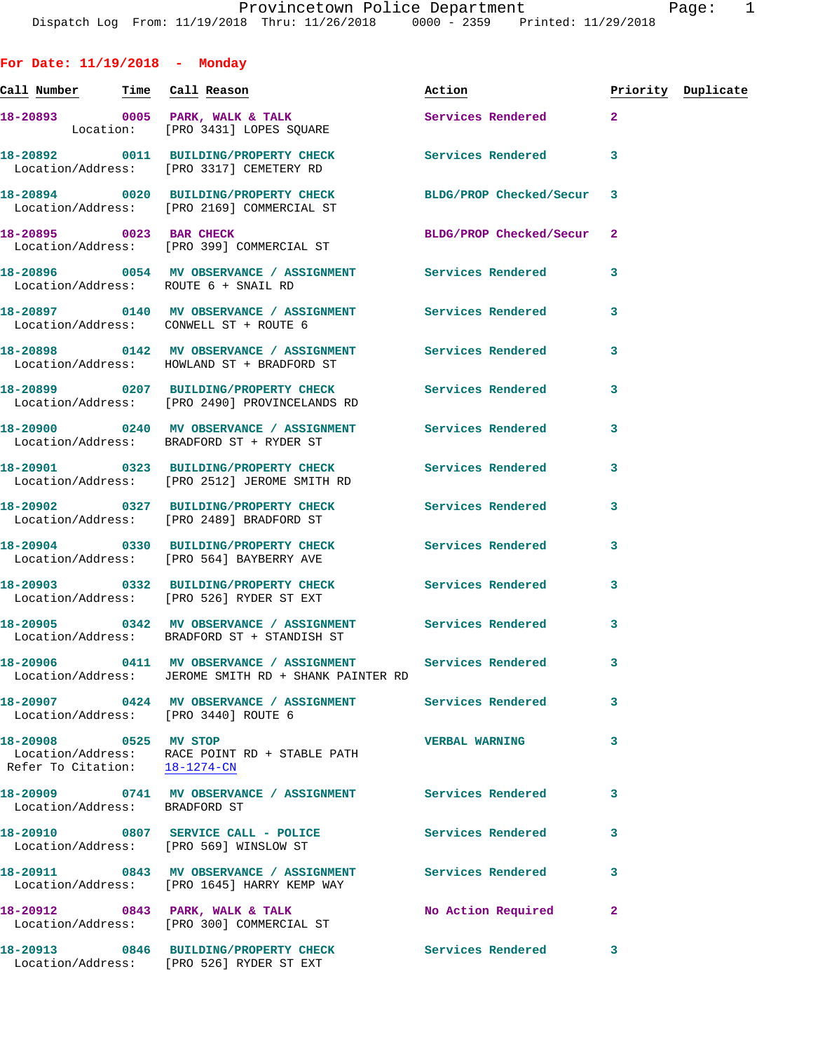| For Date: $11/19/2018$ - Monday                        |                                                                                                               |                           |              |                    |
|--------------------------------------------------------|---------------------------------------------------------------------------------------------------------------|---------------------------|--------------|--------------------|
| <u>Call Number — Time Call Reason</u>                  |                                                                                                               | Action                    |              | Priority Duplicate |
|                                                        | 18-20893 0005 PARK, WALK & TALK<br>Location: [PRO 3431] LOPES SQUARE                                          | Services Rendered 2       |              |                    |
|                                                        | 18-20892 0011 BUILDING/PROPERTY CHECK<br>Location/Address: [PRO 3317] CEMETERY RD                             | Services Rendered         | 3            |                    |
|                                                        | 18-20894 0020 BUILDING/PROPERTY CHECK BLDG/PROP Checked/Secur 3<br>Location/Address: [PRO 2169] COMMERCIAL ST |                           |              |                    |
|                                                        | 18-20895 0023 BAR CHECK<br>Location/Address: [PRO 399] COMMERCIAL ST                                          | BLDG/PROP Checked/Secur 2 |              |                    |
|                                                        | 18-20896 0054 MV OBSERVANCE / ASSIGNMENT Services Rendered<br>Location/Address: ROUTE 6 + SNAIL RD            |                           | 3            |                    |
|                                                        | 18-20897  0140 MV OBSERVANCE / ASSIGNMENT Services Rendered<br>Location/Address: CONWELL ST + ROUTE 6         |                           | 3            |                    |
|                                                        | 18-20898 0142 MV OBSERVANCE / ASSIGNMENT Services Rendered<br>Location/Address: HOWLAND ST + BRADFORD ST      |                           | 3            |                    |
|                                                        | 18-20899 0207 BUILDING/PROPERTY CHECK<br>Location/Address: [PRO 2490] PROVINCELANDS RD                        | Services Rendered         | 3            |                    |
|                                                        | 18-20900 0240 MV OBSERVANCE / ASSIGNMENT Services Rendered<br>Location/Address: BRADFORD ST + RYDER ST        |                           | 3            |                    |
|                                                        | 18-20901 0323 BUILDING/PROPERTY CHECK Services Rendered<br>Location/Address: [PRO 2512] JEROME SMITH RD       |                           | 3            |                    |
|                                                        | 18-20902 0327 BUILDING/PROPERTY CHECK<br>Location/Address: [PRO 2489] BRADFORD ST                             | Services Rendered         | 3            |                    |
|                                                        | 18-20904 0330 BUILDING/PROPERTY CHECK Services Rendered 3<br>Location/Address: [PRO 564] BAYBERRY AVE         |                           |              |                    |
|                                                        | 18-20903 0332 BUILDING/PROPERTY CHECK<br>Location/Address: [PRO 526] RYDER ST EXT                             | <b>Services Rendered</b>  | 3            |                    |
|                                                        | 18-20905 0342 MV OBSERVANCE / ASSIGNMENT Services Rendered<br>Location/Address: BRADFORD ST + STANDISH ST     |                           | 3            |                    |
|                                                        | 18-20906 0411 MV OBSERVANCE / ASSIGNMENT<br>Location/Address: JEROME SMITH RD + SHANK PAINTER RD              | Services Rendered         | 3            |                    |
|                                                        | 18-20907 0424 MV OBSERVANCE / ASSIGNMENT<br>Location/Address: [PRO 3440] ROUTE 6                              | Services Rendered         | 3            |                    |
| 18-20908 0525 MV STOP<br>Refer To Citation: 18-1274-CN | Location/Address: RACE POINT RD + STABLE PATH                                                                 | <b>VERBAL WARNING</b>     | 3            |                    |
| Location/Address: BRADFORD ST                          | 18-20909 0741 MV OBSERVANCE / ASSIGNMENT Services Rendered                                                    |                           | 3            |                    |
|                                                        | 18-20910 0807 SERVICE CALL - POLICE<br>Location/Address: [PRO 569] WINSLOW ST                                 | Services Rendered         | 3            |                    |
|                                                        | 18-20911 0843 MV OBSERVANCE / ASSIGNMENT Services Rendered<br>Location/Address: [PRO 1645] HARRY KEMP WAY     |                           | 3            |                    |
|                                                        | 18-20912 0843 PARK, WALK & TALK<br>Location/Address: [PRO 300] COMMERCIAL ST                                  | No Action Required        | $\mathbf{2}$ |                    |
|                                                        | 18-20913 0846 BUILDING/PROPERTY CHECK Services Rendered<br>Location/Address: [PRO 526] RYDER ST EXT           |                           | 3            |                    |
|                                                        |                                                                                                               |                           |              |                    |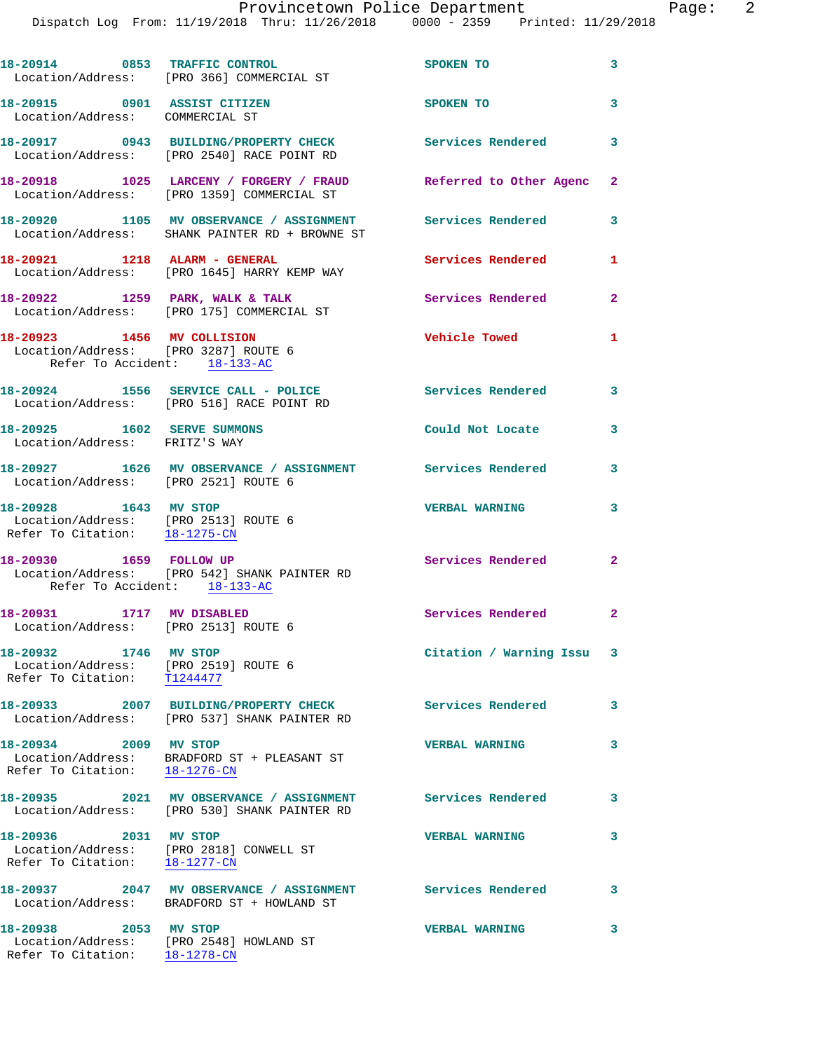|                                                                                                    | 18-20914 0853 TRAFFIC CONTROL<br>Location/Address: [PRO 366] COMMERCIAL ST                                    | SPOKEN TO                 | 3            |
|----------------------------------------------------------------------------------------------------|---------------------------------------------------------------------------------------------------------------|---------------------------|--------------|
| 18-20915 0901 ASSIST CITIZEN<br>Location/Address: COMMERCIAL ST                                    |                                                                                                               | SPOKEN TO                 | $\mathbf{3}$ |
|                                                                                                    | 18-20917 0943 BUILDING/PROPERTY CHECK<br>Location/Address: [PRO 2540] RACE POINT RD                           | <b>Services Rendered</b>  | 3            |
|                                                                                                    | 18-20918 1025 LARCENY / FORGERY / FRAUD Referred to Other Agenc<br>Location/Address: [PRO 1359] COMMERCIAL ST |                           | $\mathbf{2}$ |
|                                                                                                    | 18-20920 1105 MV OBSERVANCE / ASSIGNMENT Services Rendered<br>Location/Address: SHANK PAINTER RD + BROWNE ST  |                           | 3            |
| 18-20921 1218 ALARM - GENERAL                                                                      | Location/Address: [PRO 1645] HARRY KEMP WAY                                                                   | Services Rendered         | 1            |
|                                                                                                    | 18-20922 1259 PARK, WALK & TALK<br>Location/Address: [PRO 175] COMMERCIAL ST                                  | Services Rendered         | $\mathbf{2}$ |
| 18-20923 1456 MV COLLISION<br>Location/Address: [PRO 3287] ROUTE 6<br>Refer To Accident: 18-133-AC |                                                                                                               | <b>Vehicle Towed</b>      | 1            |
|                                                                                                    | 18-20924 1556 SERVICE CALL - POLICE<br>Location/Address: [PRO 516] RACE POINT RD                              | Services Rendered 3       |              |
| 18-20925   1602 SERVE SUMMONS<br>Location/Address: FRITZ'S WAY                                     |                                                                                                               | Could Not Locate          | 3            |
| Location/Address: [PRO 2521] ROUTE 6                                                               | 18-20927 1626 MV OBSERVANCE / ASSIGNMENT Services Rendered                                                    |                           | 3            |
| 18-20928 1643 MV STOP<br>Location/Address: [PRO 2513] ROUTE 6<br>Refer To Citation: 18-1275-CN     |                                                                                                               | <b>VERBAL WARNING</b>     | 3            |
| Refer To Accident: 18-133-AC                                                                       | Location/Address: [PRO 542] SHANK PAINTER RD                                                                  | Services Rendered         | $\mathbf{2}$ |
| 18-20931 1717 MV DISABLED<br>Location/Address: [PRO 2513] ROUTE 6                                  |                                                                                                               | Services Rendered 2       |              |
| 18-20932 1746 MV STOP<br>Location/Address: [PRO 2519] ROUTE 6<br>Refer To Citation: T1244477       |                                                                                                               | Citation / Warning Issu 3 |              |
|                                                                                                    | 18-20933 2007 BUILDING/PROPERTY CHECK<br>Location/Address: [PRO 537] SHANK PAINTER RD                         | <b>Services Rendered</b>  | 3            |
| 18-20934 2009 MV STOP<br>Refer To Citation: 18-1276-CN                                             | Location/Address: BRADFORD ST + PLEASANT ST                                                                   | <b>VERBAL WARNING</b>     | 3            |
|                                                                                                    | 18-20935  2021 MV OBSERVANCE / ASSIGNMENT<br>Location/Address: [PRO 530] SHANK PAINTER RD                     | <b>Services Rendered</b>  | 3            |
| 18-20936 2031 MV STOP<br>Refer To Citation: 18-1277-CN                                             | Location/Address: [PRO 2818] CONWELL ST                                                                       | <b>VERBAL WARNING</b>     | 3            |
|                                                                                                    | 18-20937 2047 MV OBSERVANCE / ASSIGNMENT Services Rendered<br>Location/Address: BRADFORD ST + HOWLAND ST      |                           | $\mathbf{3}$ |
| 18-20938 2053 MV STOP                                                                              | Location/Address: [PRO 2548] HOWLAND ST<br>Refer To Citation: 18-1278-CN                                      | <b>VERBAL WARNING</b>     | 3            |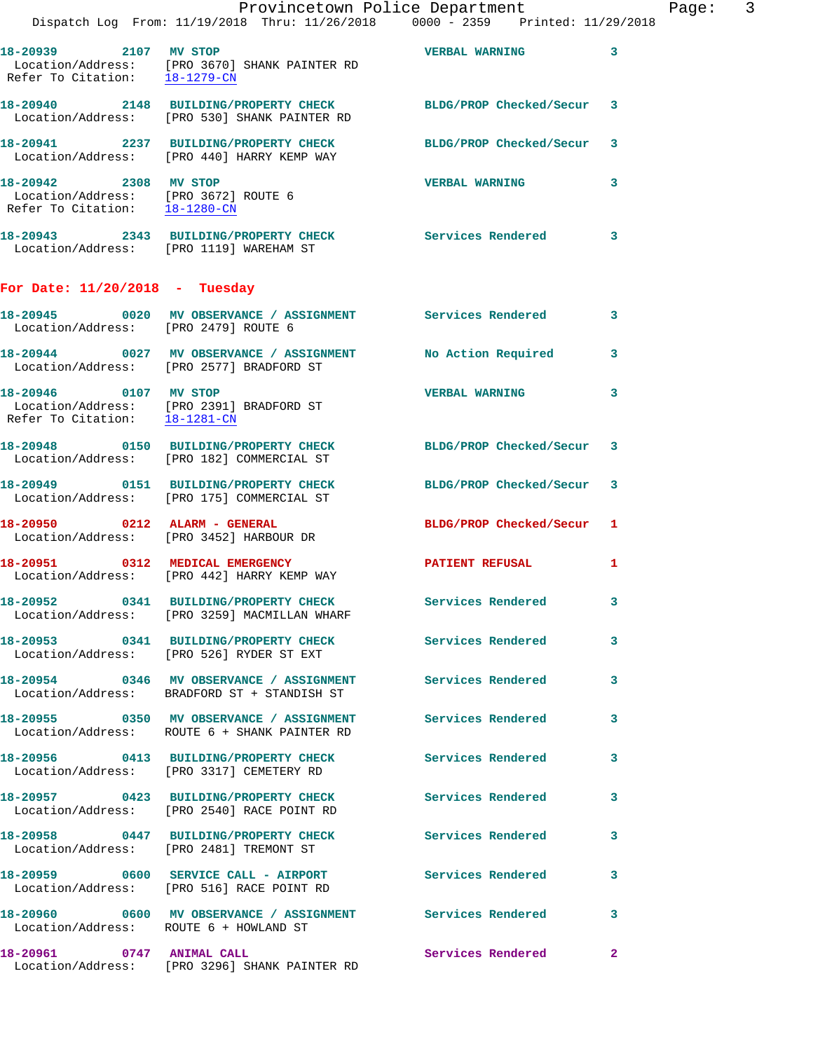|                                      | Provincetown Police Department<br>Dispatch Log From: 11/19/2018 Thru: 11/26/2018 0000 - 2359 Printed: 11/29/2018             |                          |   |
|--------------------------------------|------------------------------------------------------------------------------------------------------------------------------|--------------------------|---|
| 18-20939 2107 MV STOP                | Location/Address: [PRO 3670] SHANK PAINTER RD<br>Refer To Citation: $\frac{18-1279-CN}{\text{N}}$                            | <b>VERBAL WARNING</b>    | 3 |
|                                      | 18-20940 2148 BUILDING/PROPERTY CHECK BLDG/PROP Checked/Secur<br>Location/Address: [PRO 530] SHANK PAINTER RD                |                          | 3 |
|                                      | 18-20941 2237 BUILDING/PROPERTY CHECK BLDG/PROP Checked/Secur<br>Location/Address: [PRO 440] HARRY KEMP WAY                  |                          | 3 |
| 18-20942 2308 MV STOP                | Location/Address: [PRO 3672] ROUTE 6<br>Refer To Citation: 18-1280-CN                                                        | <b>VERBAL WARNING</b>    | 3 |
|                                      | 18-20943 2343 BUILDING/PROPERTY CHECK Services Rendered<br>Location/Address: [PRO 1119] WAREHAM ST                           |                          | 3 |
| For Date: $11/20/2018$ - Tuesday     |                                                                                                                              |                          |   |
| Location/Address: [PRO 2479] ROUTE 6 | 18-20945 0020 MV OBSERVANCE / ASSIGNMENT Services Rendered                                                                   |                          | 3 |
|                                      | 18-20944 0027 MV OBSERVANCE / ASSIGNMENT No Action Required<br>Location/Address: [PRO 2577] BRADFORD ST                      |                          | 3 |
| 18-20946 0107 MV STOP                | $\begin{tabular}{ll} Location/Address: & [PRO 2391] BRADFORD ST\\ Refer To Citation: & \underline{18-1281-CN} \end{tabular}$ | <b>VERBAL WARNING</b>    | 3 |
|                                      | 18-20948 0150 BUILDING/PROPERTY CHECK BLDG/PROP Checked/Secur<br>Location/Address: [PRO 182] COMMERCIAL ST                   |                          | 3 |
|                                      | 18-20949   0151   BUILDING/PROPERTY CHECK   BLDG/PROP Checked/Secur<br>Location/Address: [PRO 175] COMMERCIAL ST             |                          | 3 |
|                                      | 18-20950 0212 ALARM - GENERAL<br>Location/Address: [PRO 3452] HARBOUR DR                                                     | BLDG/PROP Checked/Secur  | 1 |
|                                      | 18-20951 0312 MEDICAL EMERGENCY<br>Location/Address: [PRO 442] HARRY KEMP WAY                                                | PATIENT REFUSAL          | 1 |
|                                      | 18-20952 0341 BUILDING/PROPERTY CHECK<br>Location/Address: [PRO 3259] MACMILLAN WHARF                                        | Services Rendered        | 3 |
|                                      | 18-20953 0341 BUILDING/PROPERTY CHECK<br>Location/Address: [PRO 526] RYDER ST EXT                                            | Services Rendered        | 3 |
|                                      | 18-20954 0346 MV OBSERVANCE / ASSIGNMENT Services Rendered<br>Location/Address: BRADFORD ST + STANDISH ST                    |                          | 3 |
|                                      | 18-20955 0350 MV OBSERVANCE / ASSIGNMENT Services Rendered<br>Location/Address: ROUTE 6 + SHANK PAINTER RD                   |                          | 3 |
|                                      | 18-20956 0413 BUILDING/PROPERTY CHECK<br>Location/Address: [PRO 3317] CEMETERY RD                                            | <b>Services Rendered</b> | 3 |
|                                      | 18-20957 0423 BUILDING/PROPERTY CHECK Services Rendered<br>Location/Address: [PRO 2540] RACE POINT RD                        |                          | 3 |
|                                      | 18-20958 0447 BUILDING/PROPERTY CHECK Services Rendered<br>Location/Address: [PRO 2481] TREMONT ST                           |                          | 3 |
|                                      | 18-20959 0600 SERVICE CALL - AIRPORT Services Rendered<br>Location/Address: [PRO 516] RACE POINT RD                          |                          | 3 |
|                                      | 18-20960 0600 MV OBSERVANCE / ASSIGNMENT Services Rendered<br>Location/Address: ROUTE 6 + HOWLAND ST                         |                          | 3 |
| 18-20961 0747 ANIMAL CALL            | Location/Address: [PRO 3296] SHANK PAINTER RD                                                                                | <b>Services Rendered</b> | 2 |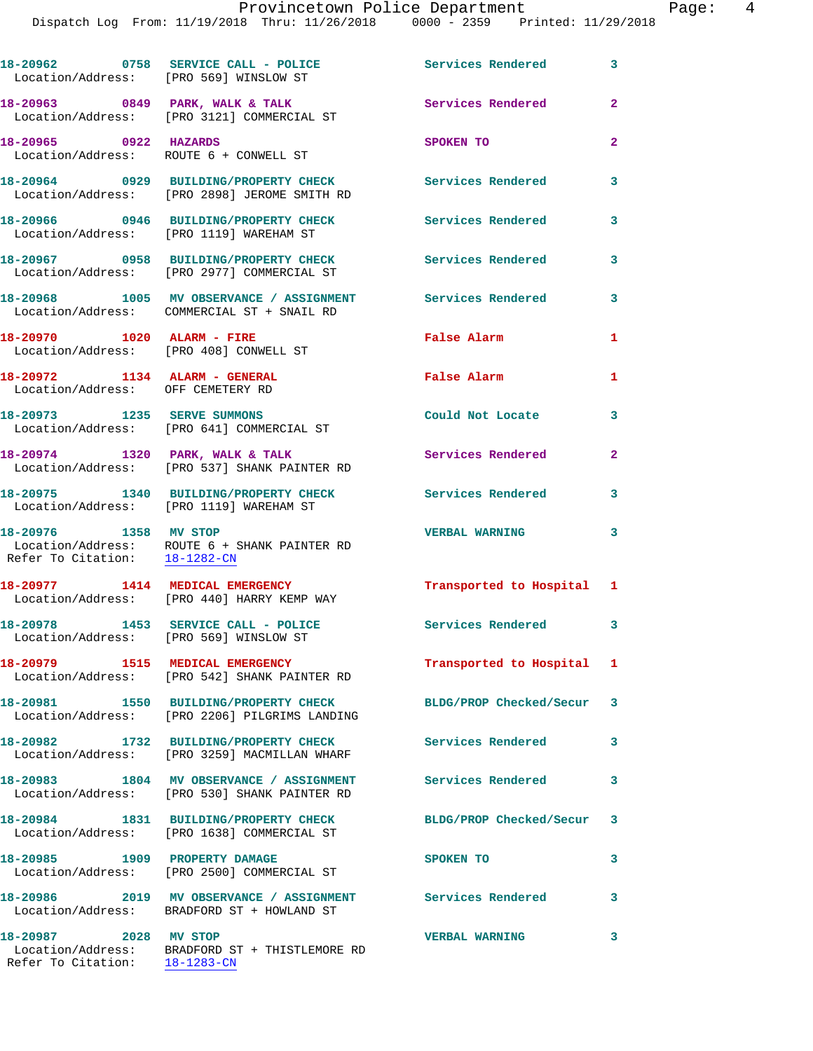Dispatch Log From: 11/19/2018 Thru: 11/26/2018 0000 - 2359 Printed: 11/29/2018

18-20962 0758 SERVICE CALL - POLICE 3 Services Rendered 3 Location/Address: [PRO 569] WINSLOW ST **18-20963 0849 PARK, WALK & TALK Services Rendered 2**  Location/Address: [PRO 3121] COMMERCIAL ST **18-20965 0922 HAZARDS SPOKEN TO 2**  Location/Address: ROUTE 6 + CONWELL ST **18-20964 0929 BUILDING/PROPERTY CHECK Services Rendered 3**  Location/Address: [PRO 2898] JEROME SMITH RD **18-20966 0946 BUILDING/PROPERTY CHECK Services Rendered 3**  Location/Address: [PRO 1119] WAREHAM ST **18-20967 0958 BUILDING/PROPERTY CHECK Services Rendered 3**  Location/Address: [PRO 2977] COMMERCIAL ST **18-20968 1005 MV OBSERVANCE / ASSIGNMENT Services Rendered 3**  Location/Address: COMMERCIAL ST + SNAIL RD **18-20970 1020 ALARM - FIRE False Alarm 1**  Location/Address: [PRO 408] CONWELL ST **18-20972 1134 ALARM - GENERAL False Alarm 1**  Location/Address: OFF CEMETERY RD **18-20973 1235 SERVE SUMMONS Could Not Locate 3**  Location/Address: [PRO 641] COMMERCIAL ST **18-20974 1320 PARK, WALK & TALK Services Rendered 2**  Location/Address: [PRO 537] SHANK PAINTER RD **18-20975 1340 BUILDING/PROPERTY CHECK Services Rendered 3**  Location/Address: [PRO 1119] WAREHAM ST **18-20976 1358 MV STOP VERBAL WARNING 3**  Location/Address: ROUTE 6 + SHANK PAINTER RD Refer To Citation: 18-1282-CN **18-20977 1414 MEDICAL EMERGENCY Transported to Hospital 1**  Location/Address: [PRO 440] HARRY KEMP WAY 18-20978 1453 SERVICE CALL - POLICE Services Rendered 3 Location/Address: [PRO 569] WINSLOW ST **18-20979 1515 MEDICAL EMERGENCY Transported to Hospital 1**  Location/Address: [PRO 542] SHANK PAINTER RD **18-20981 1550 BUILDING/PROPERTY CHECK BLDG/PROP Checked/Secur 3**  Location/Address: [PRO 2206] PILGRIMS LANDING **18-20982 1732 BUILDING/PROPERTY CHECK Services Rendered 3**  Location/Address: [PRO 3259] MACMILLAN WHARF **18-20983 1804 MV OBSERVANCE / ASSIGNMENT Services Rendered 3**  Location/Address: [PRO 530] SHANK PAINTER RD **18-20984 1831 BUILDING/PROPERTY CHECK BLDG/PROP Checked/Secur 3**  Location/Address: [PRO 1638] COMMERCIAL ST **18-20985 1909 PROPERTY DAMAGE SPOKEN TO 3**  Location/Address: [PRO 2500] COMMERCIAL ST **18-20986 2019 MV OBSERVANCE / ASSIGNMENT Services Rendered 3**  Location/Address: BRADFORD ST + HOWLAND ST **18-20987 2028 MV STOP VERBAL WARNING 3**  Location/Address: BRADFORD ST + THISTLEMORE RD Refer To Citation: 18-1283-CN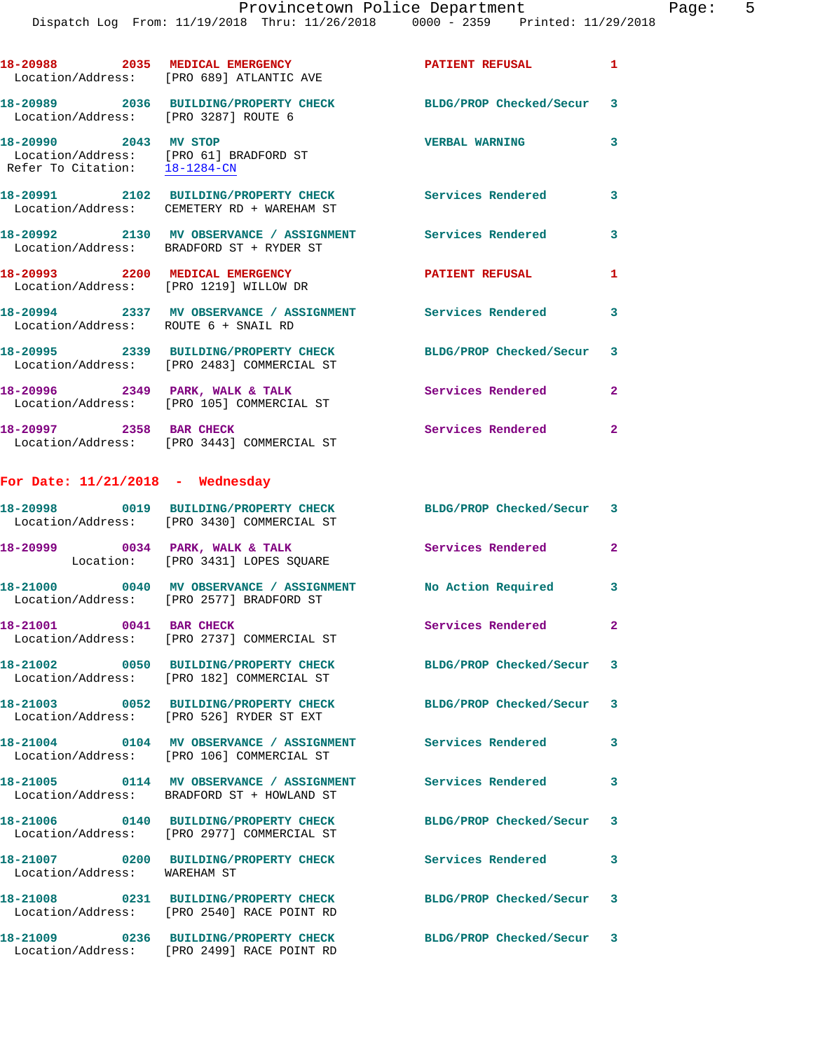|                                                        | Dispatch Log From: 11/19/2018 Thru: 11/26/2018 0000 - 2359 Printed: 11/29/2018                              |                          |                |
|--------------------------------------------------------|-------------------------------------------------------------------------------------------------------------|--------------------------|----------------|
|                                                        | 18-20988 2035 MEDICAL EMERGENCY<br>Location/Address: [PRO 689] ATLANTIC AVE                                 | <b>PATIENT REFUSAL</b>   | 1              |
| Location/Address: [PRO 3287] ROUTE 6                   | 18-20989 2036 BUILDING/PROPERTY CHECK BLDG/PROP Checked/Secur                                               |                          | 3              |
| 18-20990 2043 MV STOP<br>Refer To Citation: 18-1284-CN | Location/Address: [PRO 61] BRADFORD ST                                                                      | <b>VERBAL WARNING</b>    | 3              |
|                                                        | 18-20991 2102 BUILDING/PROPERTY CHECK Services Rendered<br>Location/Address: CEMETERY RD + WAREHAM ST       |                          | 3              |
|                                                        | 18-20992 2130 MV OBSERVANCE / ASSIGNMENT Services Rendered<br>Location/Address: BRADFORD ST + RYDER ST      |                          | 3              |
|                                                        | 18-20993 2200 MEDICAL EMERGENCY<br>Location/Address: [PRO 1219] WILLOW DR                                   | <b>PATIENT REFUSAL</b>   | 1              |
| Location/Address: ROUTE 6 + SNAIL RD                   | 18-20994 2337 MV OBSERVANCE / ASSIGNMENT Services Rendered                                                  |                          | 3              |
|                                                        | 18-20995 2339 BUILDING/PROPERTY CHECK<br>Location/Address: [PRO 2483] COMMERCIAL ST                         | BLDG/PROP Checked/Secur  | 3              |
|                                                        | 18-20996 2349 PARK, WALK & TALK<br>Location/Address: [PRO 105] COMMERCIAL ST                                | <b>Services Rendered</b> | $\mathbf{2}$   |
|                                                        | 18-20997 2358 BAR CHECK<br>Location/Address: [PRO 3443] COMMERCIAL ST                                       | Services Rendered        | $\overline{2}$ |
| For Date: $11/21/2018$ - Wednesday                     |                                                                                                             |                          |                |
|                                                        | 18-20998 0019 BUILDING/PROPERTY CHECK BLDG/PROP Checked/Secur<br>Location/Address: [PRO 3430] COMMERCIAL ST |                          | 3              |
|                                                        | $18-20999$ 0034 PARK, WALK & TALK<br>Location: [PRO 3431] LOPES SQUARE                                      | Services Rendered        | $\mathbf{2}$   |
|                                                        | 18-21000 0040 MV OBSERVANCE / ASSIGNMENT No Action Required<br>Location/Address: [PRO 2577] BRADFORD ST     |                          | 3              |
| 18-21001 0041 BAR CHECK                                | Location/Address: [PRO 2737] COMMERCIAL ST                                                                  | <b>Services Rendered</b> | $\mathbf{2}$   |
|                                                        | 18-21002 0050 BUILDING/PROPERTY CHECK BLDG/PROP Checked/Secur<br>Location/Address: [PRO 182] COMMERCIAL ST  |                          | 3              |
|                                                        | 18-21003 0052 BUILDING/PROPERTY CHECK BLDG/PROP Checked/Secur<br>Location/Address: [PRO 526] RYDER ST EXT   |                          | 3              |
|                                                        | 18-21004 0104 MV OBSERVANCE / ASSIGNMENT Services Rendered<br>Location/Address: [PRO 106] COMMERCIAL ST     |                          | 3              |
|                                                        | 18-21005 0114 MV OBSERVANCE / ASSIGNMENT Services Rendered<br>Location/Address: BRADFORD ST + HOWLAND ST    |                          | 3              |
|                                                        | 18-21006 0140 BUILDING/PROPERTY CHECK<br>Location/Address: [PRO 2977] COMMERCIAL ST                         | BLDG/PROP Checked/Secur  | 3              |
| Location/Address: WAREHAM ST                           | 18-21007 0200 BUILDING/PROPERTY CHECK                                                                       | Services Rendered        | 3              |
|                                                        | 18-21008 0231 BUILDING/PROPERTY CHECK<br>Location/Address: [PRO 2540] RACE POINT RD                         | BLDG/PROP Checked/Secur  | 3              |
|                                                        | 18-21009 0236 BUILDING/PROPERTY CHECK<br>Location/Address: [PRO 2499] RACE POINT RD                         | BLDG/PROP Checked/Secur  | 3              |
|                                                        |                                                                                                             |                          |                |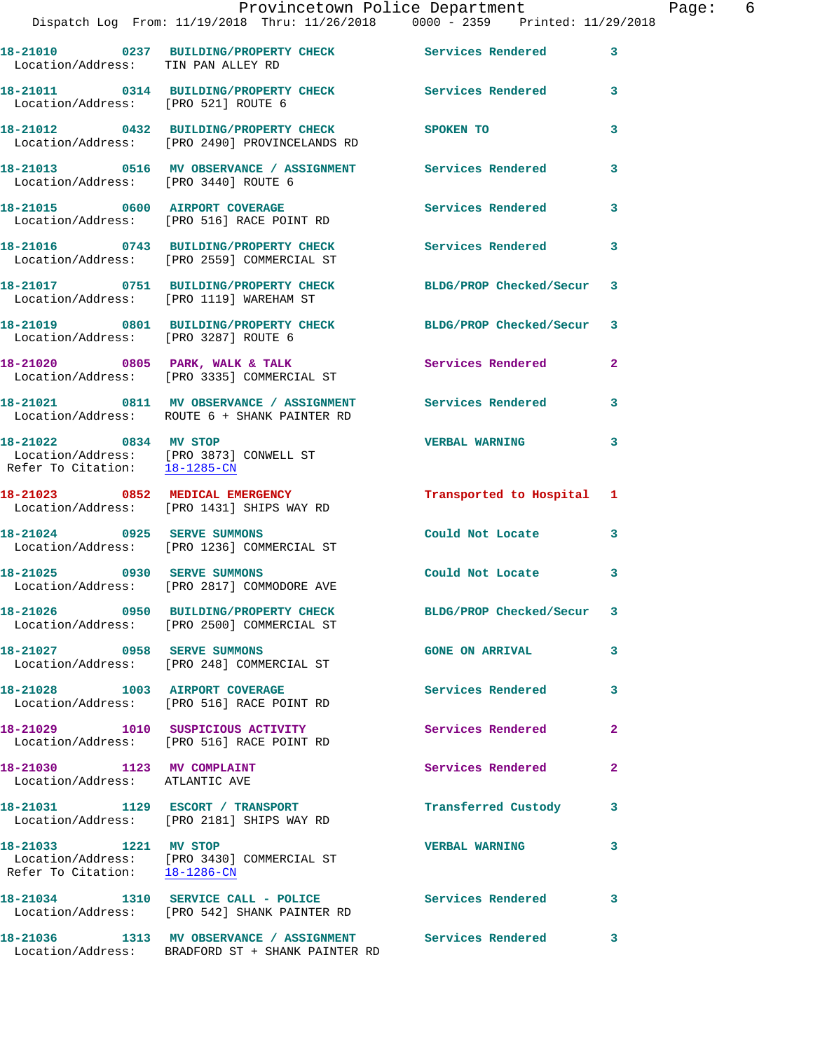|                                                              | Provincetown Police Department                                                                              |                          |                |
|--------------------------------------------------------------|-------------------------------------------------------------------------------------------------------------|--------------------------|----------------|
|                                                              | Dispatch Log From: 11/19/2018 Thru: 11/26/2018 0000 - 2359 Printed: 11/29/2018                              |                          |                |
| Location/Address: TIN PAN ALLEY RD                           | 18-21010 0237 BUILDING/PROPERTY CHECK Services Rendered                                                     |                          | 3              |
| Location/Address: [PRO 521] ROUTE 6                          | 18-21011 0314 BUILDING/PROPERTY CHECK Services Rendered                                                     |                          | 3              |
|                                                              | 18-21012 0432 BUILDING/PROPERTY CHECK<br>Location/Address: [PRO 2490] PROVINCELANDS RD                      | SPOKEN TO                | 3              |
|                                                              |                                                                                                             |                          | 3              |
|                                                              | 18-21015 0600 AIRPORT COVERAGE<br>Location/Address: [PRO 516] RACE POINT RD                                 | Services Rendered        | 3              |
|                                                              | 18-21016 0743 BUILDING/PROPERTY CHECK<br>Location/Address: [PRO 2559] COMMERCIAL ST                         | Services Rendered        | 3              |
|                                                              | 18-21017 0751 BUILDING/PROPERTY CHECK BLDG/PROP Checked/Secur<br>Location/Address: [PRO 1119] WAREHAM ST    |                          | 3              |
| Location/Address: [PRO 3287] ROUTE 6                         | 18-21019 0801 BUILDING/PROPERTY CHECK                                                                       | BLDG/PROP Checked/Secur  | 3              |
|                                                              | $18-21020$ 0805 PARK, WALK & TALK<br>Location/Address: [PRO 3335] COMMERCIAL ST                             | <b>Services Rendered</b> | $\overline{a}$ |
|                                                              | 18-21021 0811 MV OBSERVANCE / ASSIGNMENT Services Rendered<br>Location/Address: ROUTE 6 + SHANK PAINTER RD  |                          | 3              |
| 18-21022 0834 MV STOP                                        | Location/Address: [PRO 3873] CONWELL ST<br>Refer To Citation: $18-1285$ -CN                                 | <b>VERBAL WARNING</b>    | 3              |
|                                                              | 18-21023 0852 MEDICAL EMERGENCY<br>Location/Address: [PRO 1431] SHIPS WAY RD                                | Transported to Hospital  | 1              |
|                                                              | 18-21024 0925 SERVE SUMMONS<br>Location/Address: [PRO 1236] COMMERCIAL ST                                   | Could Not Locate         | 3              |
| 18-21025 0930 SERVE SUMMONS                                  | Location/Address: [PRO 2817] COMMODORE AVE                                                                  | Could Not Locate         | 3              |
|                                                              | 18-21026 0950 BUILDING/PROPERTY CHECK BLDG/PROP Checked/Secur<br>Location/Address: [PRO 2500] COMMERCIAL ST |                          | 3              |
| 18-21027 0958 SERVE SUMMONS                                  | Location/Address: [PRO 248] COMMERCIAL ST                                                                   | <b>GONE ON ARRIVAL</b>   | 3              |
|                                                              | 18-21028 1003 AIRPORT COVERAGE<br>Location/Address: [PRO 516] RACE POINT RD                                 | <b>Services Rendered</b> | 3              |
|                                                              | 18-21029 1010 SUSPICIOUS ACTIVITY<br>Location/Address: [PRO 516] RACE POINT RD                              | Services Rendered        | $\overline{a}$ |
| 18-21030 1123 MV COMPLAINT<br>Location/Address: ATLANTIC AVE |                                                                                                             | <b>Services Rendered</b> | $\overline{a}$ |
|                                                              | 18-21031 1129 ESCORT / TRANSPORT<br>Location/Address: [PRO 2181] SHIPS WAY RD                               | Transferred Custody      | 3              |
| 18-21033 1221 MV STOP<br>Refer To Citation: 18-1286-CN       | Location/Address: [PRO 3430] COMMERCIAL ST                                                                  | <b>VERBAL WARNING</b>    | 3              |
|                                                              | 18-21034 1310 SERVICE CALL - POLICE<br>Location/Address: [PRO 542] SHANK PAINTER RD                         | <b>Services Rendered</b> | 3              |
|                                                              | 18-21036 1313 MV OBSERVANCE / ASSIGNMENT Services Rendered 3                                                |                          |                |

Location/Address: BRADFORD ST + SHANK PAINTER RD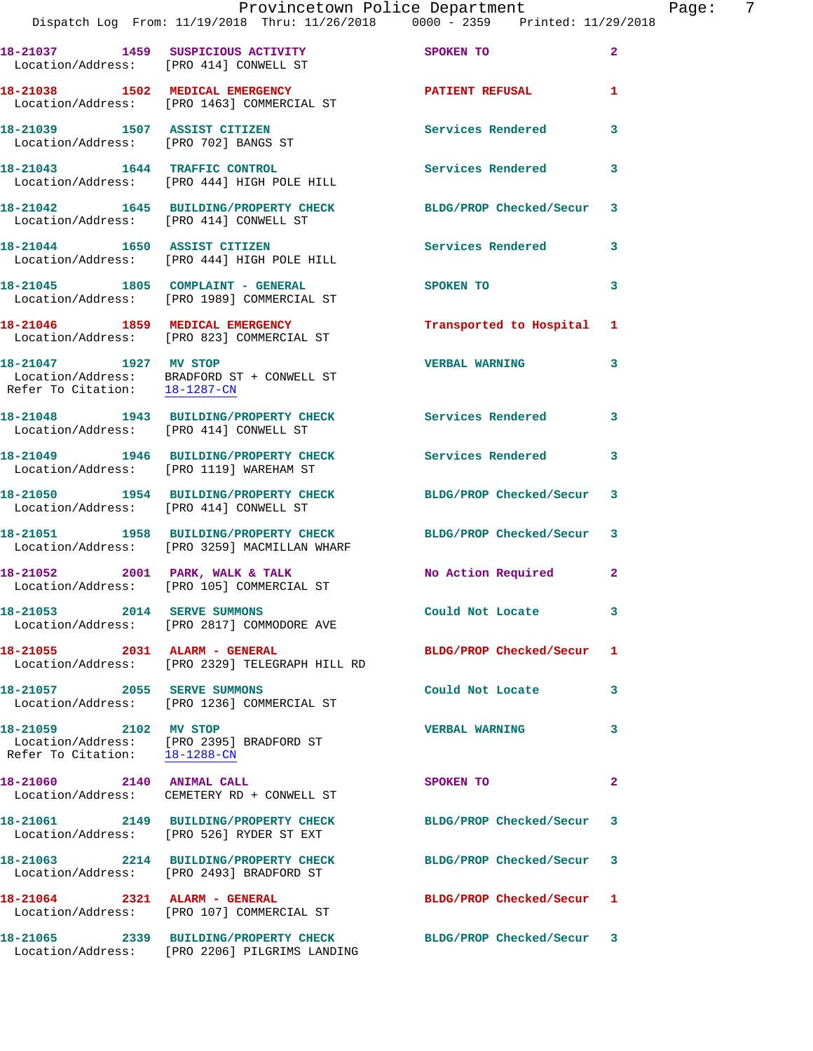|                                                        | Dispatch Log From: 11/19/2018 Thru: 11/26/2018 0000 - 2359 Printed: 11/29/2018                                   | Provincetown Police Department |                | Page: 7 |  |
|--------------------------------------------------------|------------------------------------------------------------------------------------------------------------------|--------------------------------|----------------|---------|--|
|                                                        | 18-21037 1459 SUSPICIOUS ACTIVITY SPOKEN TO<br>Location/Address: [PRO 414] CONWELL ST                            |                                | $\overline{2}$ |         |  |
|                                                        | 18-21038 1502 MEDICAL EMERGENCY PATIENT REFUSAL<br>Location/Address: [PRO 1463] COMMERCIAL ST                    |                                | $\mathbf{1}$   |         |  |
|                                                        |                                                                                                                  | Services Rendered              | 3              |         |  |
|                                                        | 18-21043 1644 TRAFFIC CONTROL<br>Location/Address: [PRO 444] HIGH POLE HILL                                      | Services Rendered              | 3              |         |  |
|                                                        | 18-21042 1645 BUILDING/PROPERTY CHECK BLDG/PROP Checked/Secur 3<br>Location/Address: [PRO 414] CONWELL ST        |                                |                |         |  |
|                                                        | 18-21044 1650 ASSIST CITIZEN<br>Location/Address: [PRO 444] HIGH POLE HILL                                       | <b>Services Rendered</b>       | 3              |         |  |
|                                                        | 18-21045   1805   COMPLAINT - GENERAL<br>Location/Address: [PRO 1989] COMMERCIAL ST                              | SPOKEN TO                      | 3              |         |  |
|                                                        | 18-21046 1859 MEDICAL EMERGENCY<br>Location/Address: [PRO 823] COMMERCIAL ST                                     | Transported to Hospital 1      |                |         |  |
| 18-21047 1927 MV STOP<br>Refer To Citation: 18-1287-CN | Location/Address: BRADFORD ST + CONWELL ST                                                                       | <b>VERBAL WARNING</b>          | 3              |         |  |
|                                                        | 18-21048 1943 BUILDING/PROPERTY CHECK Services Rendered<br>Location/Address: [PRO 414] CONWELL ST                |                                | 3              |         |  |
|                                                        | 18-21049 1946 BUILDING/PROPERTY CHECK Services Rendered<br>Location/Address: [PRO 1119] WAREHAM ST               |                                | 3              |         |  |
|                                                        | 18-21050 1954 BUILDING/PROPERTY CHECK BLDG/PROP Checked/Secur 3<br>Location/Address: [PRO 414] CONWELL ST        |                                |                |         |  |
|                                                        | 18-21051 1958 BUILDING/PROPERTY CHECK BLDG/PROP Checked/Secur 3<br>Location/Address: [PRO 3259] MACMILLAN WHARF  |                                |                |         |  |
|                                                        | 18-21052 2001 PARK, WALK & TALK<br>Location/Address: [PRO 105] COMMERCIAL ST                                     | No Action Required 2           |                |         |  |
|                                                        | 18-21053 2014 SERVE SUMMONS<br>Location/Address: [PRO 2817] COMMODORE AVE                                        | Could Not Locate               | 3              |         |  |
|                                                        | 18-21055 2031 ALARM - GENERAL<br>Location/Address: [PRO 2329] TELEGRAPH HILL RD                                  | BLDG/PROP Checked/Secur 1      |                |         |  |
| 18-21057 2055 SERVE SUMMONS                            | Location/Address: [PRO 1236] COMMERCIAL ST                                                                       | Could Not Locate               | 3              |         |  |
| 18-21059 2102 MV STOP<br>Refer To Citation: 18-1288-CN | Location/Address: [PRO 2395] BRADFORD ST                                                                         | <b>VERBAL WARNING</b>          | 3              |         |  |
| 18-21060 2140 ANIMAL CALL                              | Location/Address: CEMETERY RD + CONWELL ST                                                                       | SPOKEN TO                      | $\mathbf{2}$   |         |  |
|                                                        |                                                                                                                  | BLDG/PROP Checked/Secur 3      |                |         |  |
|                                                        | 18-21063 2214 BUILDING/PROPERTY CHECK<br>Location/Address: [PRO 2493] BRADFORD ST                                | BLDG/PROP Checked/Secur 3      |                |         |  |
|                                                        | 18-21064 2321 ALARM - GENERAL<br>Location/Address: [PRO 107] COMMERCIAL ST                                       | BLDG/PROP Checked/Secur 1      |                |         |  |
|                                                        | 18-21065 2339 BUILDING/PROPERTY CHECK BLDG/PROP Checked/Secur 3<br>Location/Address: [PRO 2206] PILGRIMS LANDING |                                |                |         |  |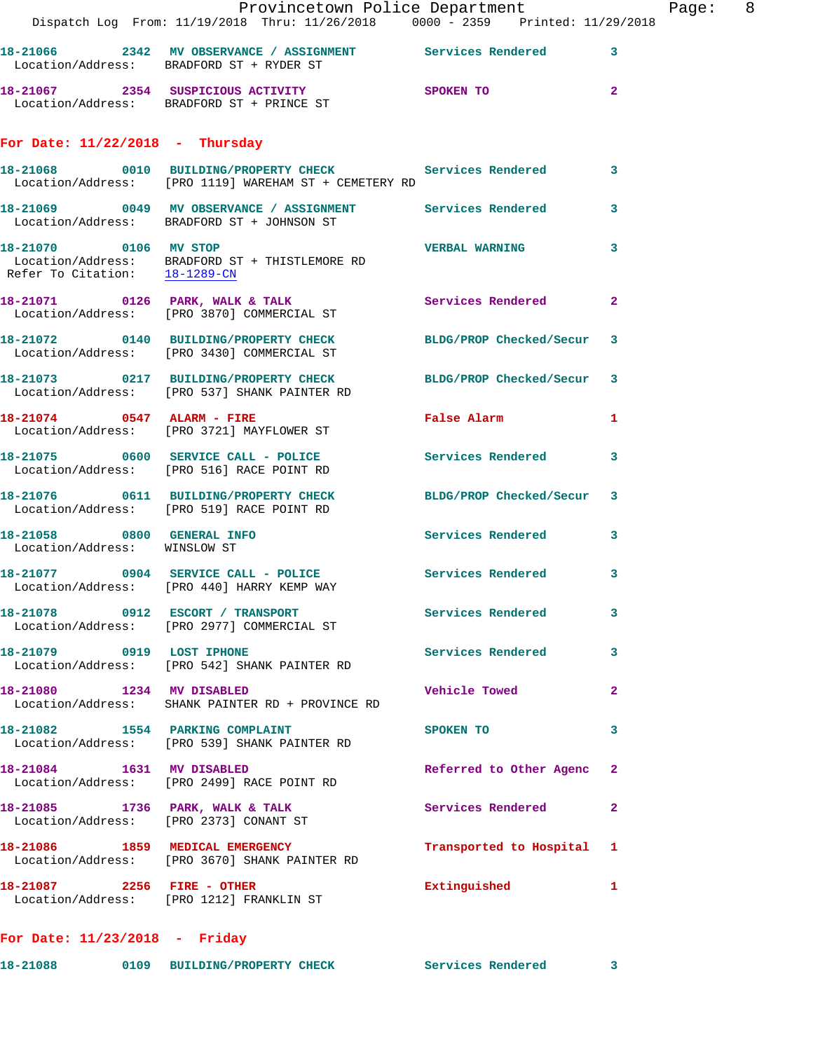|                                                            | Provincetown Police Department                                                                                   |                         |                |
|------------------------------------------------------------|------------------------------------------------------------------------------------------------------------------|-------------------------|----------------|
|                                                            | Dispatch Log From: 11/19/2018 Thru: 11/26/2018 0000 - 2359 Printed: 11/29/2018                                   |                         |                |
|                                                            | 18-21066 2342 MV OBSERVANCE / ASSIGNMENT Services Rendered<br>Location/Address: BRADFORD ST + RYDER ST           |                         | 3              |
|                                                            | 18-21067 2354 SUSPICIOUS ACTIVITY SPOKEN TO<br>Location/Address: BRADFORD ST + PRINCE ST                         |                         | $\overline{a}$ |
| For Date: $11/22/2018$ - Thursday                          |                                                                                                                  |                         |                |
|                                                            | 18-21068 0010 BUILDING/PROPERTY CHECK Services Rendered<br>Location/Address: [PRO 1119] WAREHAM ST + CEMETERY RD |                         | 3              |
|                                                            | 18-21069 0049 MV OBSERVANCE / ASSIGNMENT Services Rendered<br>Location/Address: BRADFORD ST + JOHNSON ST         |                         | 3              |
| 18-21070 0106 MV STOP<br>Refer To Citation: 18-1289-CN     | Location/Address: BRADFORD ST + THISTLEMORE RD                                                                   | <b>VERBAL WARNING</b>   | 3              |
|                                                            | 18-21071 0126 PARK, WALK & TALK<br>Location/Address: [PRO 3870] COMMERCIAL ST                                    | Services Rendered       | $\overline{a}$ |
|                                                            | 18-21072 0140 BUILDING/PROPERTY CHECK BLDG/PROP Checked/Secur<br>Location/Address: [PRO 3430] COMMERCIAL ST      |                         | 3              |
|                                                            | 18-21073 0217 BUILDING/PROPERTY CHECK BLDG/PROP Checked/Secur<br>Location/Address: [PRO 537] SHANK PAINTER RD    |                         | 3              |
|                                                            | 18-21074 0547 ALARM - FIRE<br>Location/Address: [PRO 3721] MAYFLOWER ST                                          | False Alarm             | 1              |
|                                                            | 18-21075 0600 SERVICE CALL - POLICE Services Rendered<br>Location/Address: [PRO 516] RACE POINT RD               |                         | 3              |
|                                                            | 18-21076 0611 BUILDING/PROPERTY CHECK BLDG/PROP Checked/Secur<br>Location/Address: [PRO 519] RACE POINT RD       |                         | 3              |
| 18-21058 0800 GENERAL INFO<br>Location/Address: WINSLOW ST |                                                                                                                  | Services Rendered       | 3              |
|                                                            | 18-21077 0904 SERVICE CALL - POLICE<br>Location/Address: [PRO 440] HARRY KEMP WAY                                | Services Rendered       | 3              |
|                                                            | 18-21078 0912 ESCORT / TRANSPORT<br>Location/Address: [PRO 2977] COMMERCIAL ST                                   | Services Rendered       | 3              |
| 18-21079 0919 LOST IPHONE                                  | Location/Address: [PRO 542] SHANK PAINTER RD                                                                     | Services Rendered       | 3              |
| 18-21080 1234 MV DISABLED                                  | Location/Address: SHANK PAINTER RD + PROVINCE RD                                                                 | <b>Vehicle Towed</b>    | 2              |
|                                                            | 18-21082 1554 PARKING COMPLAINT<br>Location/Address: [PRO 539] SHANK PAINTER RD                                  | SPOKEN TO               | 3              |
| 18-21084 1631 MV DISABLED                                  | Location/Address: [PRO 2499] RACE POINT RD                                                                       | Referred to Other Agenc | $\mathbf{2}$   |
|                                                            | 18-21085 1736 PARK, WALK & TALK<br>Location/Address: [PRO 2373] CONANT ST                                        | Services Rendered       | $\mathbf{2}$   |
|                                                            | 18-21086 1859 MEDICAL EMERGENCY<br>Location/Address: [PRO 3670] SHANK PAINTER RD                                 | Transported to Hospital | 1              |
|                                                            | 18-21087 2256 FIRE - OTHER<br>Location/Address: [PRO 1212] FRANKLIN ST                                           | Extinguished            | 1              |
| For Date: $11/23/2018$ - Friday                            |                                                                                                                  |                         |                |

**18-21088 0109 BUILDING/PROPERTY CHECK Services Rendered 3** 

Page: 8<br>
18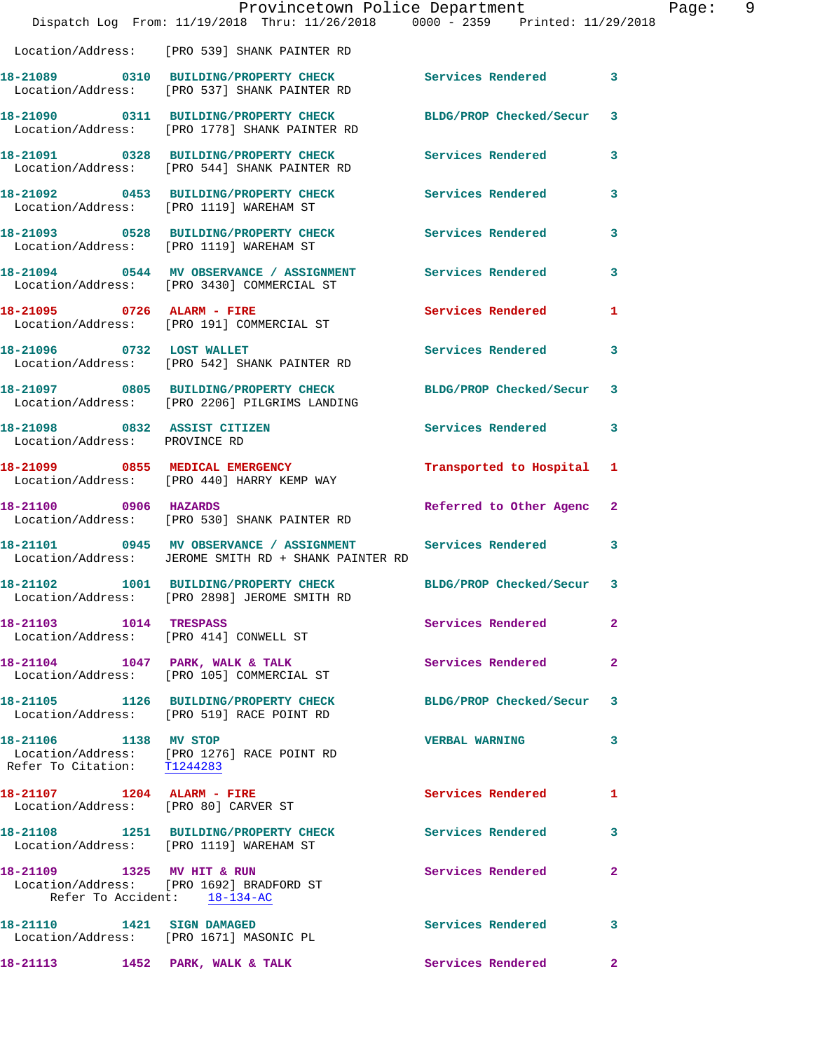|                                                                    | Dispatch Log From: 11/19/2018 Thru: 11/26/2018 0000 - 2359 Printed: 11/29/2018                                       | Provincetown Police Department | Page:                   | - 9 |
|--------------------------------------------------------------------|----------------------------------------------------------------------------------------------------------------------|--------------------------------|-------------------------|-----|
|                                                                    | Location/Address: [PRO 539] SHANK PAINTER RD                                                                         |                                |                         |     |
|                                                                    | 18-21089 0310 BUILDING/PROPERTY CHECK Services Rendered<br>Location/Address: [PRO 537] SHANK PAINTER RD              |                                | $\overline{\mathbf{3}}$ |     |
|                                                                    | 18-21090 0311 BUILDING/PROPERTY CHECK BLDG/PROP Checked/Secur 3<br>Location/Address: [PRO 1778] SHANK PAINTER RD     |                                |                         |     |
|                                                                    | 18-21091 0328 BUILDING/PROPERTY CHECK Services Rendered 3<br>Location/Address: [PRO 544] SHANK PAINTER RD            |                                |                         |     |
|                                                                    | 18-21092 0453 BUILDING/PROPERTY CHECK Services Rendered 3<br>Location/Address: [PRO 1119] WAREHAM ST                 |                                |                         |     |
|                                                                    | 18-21093 0528 BUILDING/PROPERTY CHECK Services Rendered 3<br>Location/Address: [PRO 1119] WAREHAM ST                 |                                |                         |     |
|                                                                    | 18-21094 0544 MV OBSERVANCE / ASSIGNMENT Services Rendered<br>Location/Address: [PRO 3430] COMMERCIAL ST             |                                | 3                       |     |
| 18-21095 0726 ALARM - FIRE                                         | Location/Address: [PRO 191] COMMERCIAL ST                                                                            | Services Rendered              | $\mathbf{1}$            |     |
|                                                                    | 18-21096 0732 LOST WALLET<br>Location/Address: [PRO 542] SHANK PAINTER RD                                            | Services Rendered              | 3                       |     |
|                                                                    | 18-21097 0805 BUILDING/PROPERTY CHECK BLDG/PROP Checked/Secur 3<br>Location/Address: [PRO 2206] PILGRIMS LANDING     |                                |                         |     |
| 18-21098 0832 ASSIST CITIZEN<br>Location/Address: PROVINCE RD      |                                                                                                                      | Services Rendered 3            |                         |     |
|                                                                    | 18-21099 0855 MEDICAL EMERGENCY<br>Location/Address: [PRO 440] HARRY KEMP WAY                                        | Transported to Hospital 1      |                         |     |
|                                                                    | 18-21100 0906 HAZARDS<br>Location/Address: [PRO 530] SHANK PAINTER RD                                                | Referred to Other Agenc 2      |                         |     |
|                                                                    | 18-21101 0945 MV OBSERVANCE / ASSIGNMENT Services Rendered 3<br>Location/Address: JEROME SMITH RD + SHANK PAINTER RD |                                |                         |     |
|                                                                    | 18-21102 1001 BUILDING/PROPERTY CHECK BLDG/PROP Checked/Secur 3<br>Location/Address: [PRO 2898] JEROME SMITH RD      |                                |                         |     |
| 18-21103 1014 TRESPASS                                             | Location/Address: [PRO 414] CONWELL ST                                                                               | Services Rendered              | 2                       |     |
|                                                                    | 18-21104 1047 PARK, WALK & TALK<br>Location/Address: [PRO 105] COMMERCIAL ST                                         | <b>Services Rendered</b>       | $\mathbf{2}$            |     |
|                                                                    | 18-21105 1126 BUILDING/PROPERTY CHECK BLDG/PROP Checked/Secur 3<br>Location/Address: [PRO 519] RACE POINT RD         |                                |                         |     |
| 18-21106 1138 MV STOP                                              | Location/Address: [PRO 1276] RACE POINT RD<br>Refer To Citation: $\frac{T1244283}{T1244283}$                         | <b>VERBAL WARNING</b>          | 3                       |     |
| 18-21107 1204 ALARM - FIRE<br>Location/Address: [PRO 80] CARVER ST |                                                                                                                      | Services Rendered              | 1                       |     |
|                                                                    | 18-21108 1251 BUILDING/PROPERTY CHECK<br>Location/Address: [PRO 1119] WAREHAM ST                                     | Services Rendered              | 3                       |     |
| 18-21109 1325 MV HIT & RUN                                         | Location/Address: [PRO 1692] BRADFORD ST<br>Refer To Accident: 18-134-AC                                             | Services Rendered              | $\mathbf{2}$            |     |
|                                                                    | 18-21110 1421 SIGN DAMAGED<br>Location/Address: [PRO 1671] MASONIC PL                                                | Services Rendered              | 3                       |     |
|                                                                    | 18-21113 1452 PARK, WALK & TALK                                                                                      | Services Rendered              | $\mathbf{2}$            |     |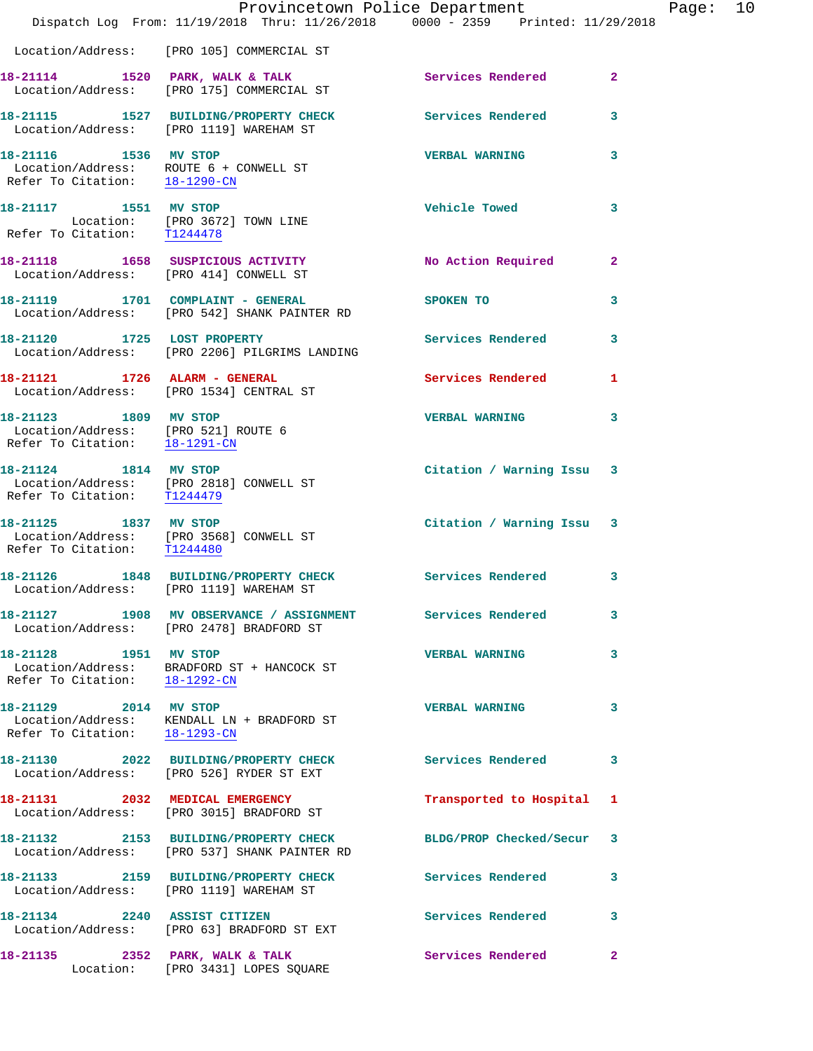|                                                                                               | Dispatch Log From: 11/19/2018 Thru: 11/26/2018 0000 - 2359 Printed: 11/29/2018                         | Provincetown Police Department | Page: $10$     |
|-----------------------------------------------------------------------------------------------|--------------------------------------------------------------------------------------------------------|--------------------------------|----------------|
|                                                                                               | Location/Address: [PRO 105] COMMERCIAL ST                                                              |                                |                |
|                                                                                               | 18-21114 1520 PARK, WALK & TALK<br>Location/Address: [PRO 175] COMMERCIAL ST                           | Services Rendered              | $\overline{2}$ |
|                                                                                               | 18-21115 1527 BUILDING/PROPERTY CHECK Services Rendered<br>Location/Address: [PRO 1119] WAREHAM ST     |                                | 3              |
| 18-21116 1536 MV STOP<br>Refer To Citation: 18-1290-CN                                        | Location/Address: ROUTE 6 + CONWELL ST                                                                 | <b>VERBAL WARNING</b>          | 3              |
| 18-21117 1551 MV STOP                                                                         | Location: [PRO 3672] TOWN LINE<br>Refer To Citation: T1244478                                          | <b>Vehicle Towed</b>           | 3              |
|                                                                                               | 18-21118 1658 SUSPICIOUS ACTIVITY<br>Location/Address: [PRO 414] CONWELL ST                            | No Action Required             | $\mathbf{2}$   |
|                                                                                               | 18-21119 1701 COMPLAINT - GENERAL<br>Location/Address: [PRO 542] SHANK PAINTER RD                      | SPOKEN TO                      | 3              |
|                                                                                               | 18-21120 1725 LOST PROPERTY<br>Location/Address: [PRO 2206] PILGRIMS LANDING                           | <b>Services Rendered</b>       | 3              |
|                                                                                               | 18-21121 1726 ALARM - GENERAL<br>Location/Address: [PRO 1534] CENTRAL ST                               | Services Rendered 1            |                |
| 18-21123 1809 MV STOP<br>Location/Address: [PRO 521] ROUTE 6<br>Refer To Citation: 18-1291-CN |                                                                                                        | <b>VERBAL WARNING</b>          | 3              |
| 18-21124 1814 MV STOP<br>Refer To Citation: T1244479                                          | Location/Address: [PRO 2818] CONWELL ST                                                                | Citation / Warning Issu 3      |                |
| Refer To Citation: T1244480                                                                   | 18-21125 1837 MV STOP<br>Location/Address: [PRO 3568] CONWELL ST                                       | Citation / Warning Issu 3      |                |
|                                                                                               | 18-21126 1848 BUILDING/PROPERTY CHECK Services Rendered<br>Location/Address: [PRO 1119] WAREHAM ST     |                                | 3              |
|                                                                                               | 18-21127 1908 MV OBSERVANCE / ASSIGNMENT Services Rendered<br>Location/Address: [PRO 2478] BRADFORD ST |                                | 3              |
| 18-21128 1951 MV STOP                                                                         | Location/Address: BRADFORD ST + HANCOCK ST<br>Refer To Citation: 18-1292-CN                            | <b>VERBAL WARNING</b>          | 3              |
| 18-21129 2014 MV STOP<br>Refer To Citation: 18-1293-CN                                        | Location/Address: KENDALL LN + BRADFORD ST                                                             | <b>VERBAL WARNING</b>          | 3              |
|                                                                                               | 18-21130 2022 BUILDING/PROPERTY CHECK Services Rendered<br>Location/Address: [PRO 526] RYDER ST EXT    |                                | 3              |
|                                                                                               | 18-21131 2032 MEDICAL EMERGENCY<br>Location/Address: [PRO 3015] BRADFORD ST                            | Transported to Hospital 1      |                |
|                                                                                               | 18-21132 2153 BUILDING/PROPERTY CHECK<br>Location/Address: [PRO 537] SHANK PAINTER RD                  | BLDG/PROP Checked/Secur 3      |                |
|                                                                                               | 18-21133 2159 BUILDING/PROPERTY CHECK Services Rendered<br>Location/Address: [PRO 1119] WAREHAM ST     |                                | 3              |
|                                                                                               | 18-21134 2240 ASSIST CITIZEN<br>Location/Address: [PRO 63] BRADFORD ST EXT                             | Services Rendered              | 3              |
|                                                                                               | 18-21135 2352 PARK, WALK & TALK<br>Location: [PRO 3431] LOPES SQUARE                                   | Services Rendered              | $\mathbf{2}$   |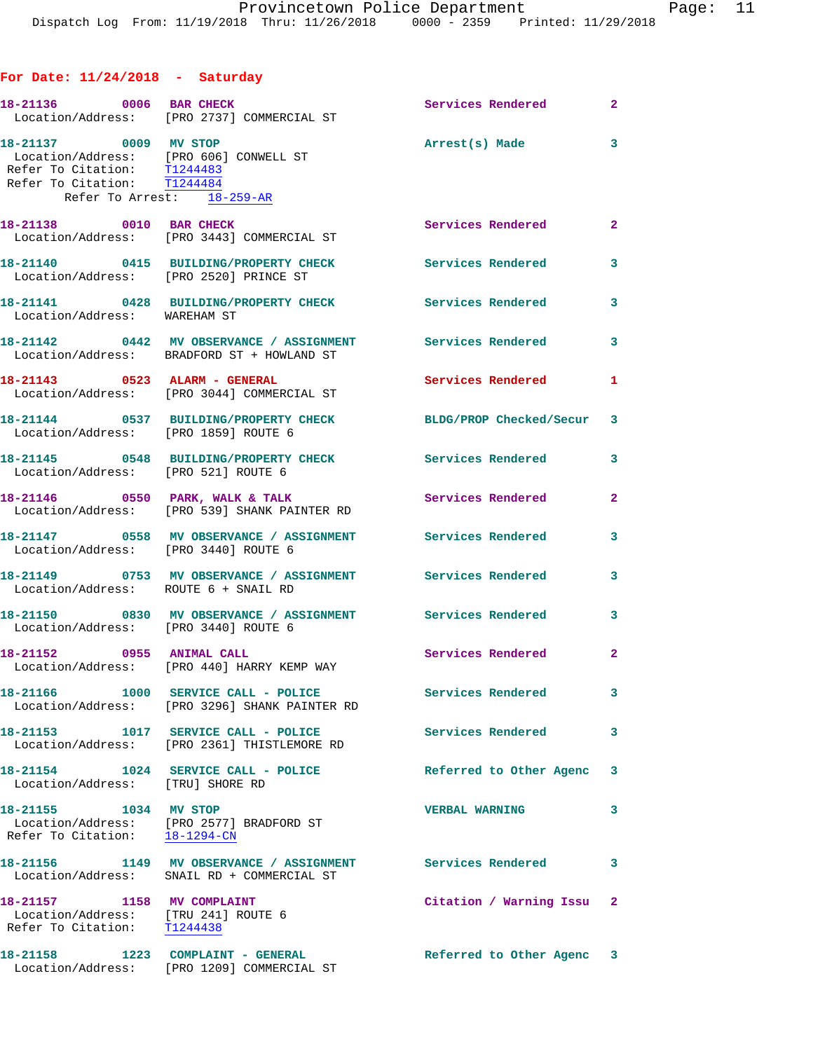## **For Date: 11/24/2018 - Saturday**

| 18-21136 0006 BAR CHECK                                                                                                                                     | Location/Address: [PRO 2737] COMMERCIAL ST                                                                 | <b>Services Rendered 22</b> |                            |
|-------------------------------------------------------------------------------------------------------------------------------------------------------------|------------------------------------------------------------------------------------------------------------|-----------------------------|----------------------------|
| 18-21137 0009 MV STOP<br>Location/Address: [PRO 606] CONWELL ST<br>Refer To Citation: T1244483<br>Refer To Citation: T1244484<br>Refer To Arrest: 18-259-AR |                                                                                                            | Arrest(s) Made              | $\overline{\mathbf{3}}$    |
|                                                                                                                                                             | 18-21138 0010 BAR CHECK<br>Location/Address: [PRO 3443] COMMERCIAL ST                                      | Services Rendered           | $\overline{\mathbf{2}}$    |
| Location/Address: [PRO 2520] PRINCE ST                                                                                                                      | 18-21140 0415 BUILDING/PROPERTY CHECK                                                                      | <b>Services Rendered</b>    | $\overline{\phantom{a}}$ 3 |
| Location/Address: WAREHAM ST                                                                                                                                | 18-21141 0428 BUILDING/PROPERTY CHECK                                                                      | <b>Services Rendered</b>    | $\mathbf{3}$               |
|                                                                                                                                                             | 18-21142 0442 MV OBSERVANCE / ASSIGNMENT Services Rendered 3<br>Location/Address: BRADFORD ST + HOWLAND ST |                             |                            |
|                                                                                                                                                             | 18-21143 0523 ALARM - GENERAL<br>Location/Address: [PRO 3044] COMMERCIAL ST                                | <b>Services Rendered</b>    | 1                          |
| Location/Address: [PRO 1859] ROUTE 6                                                                                                                        | 18-21144 0537 BUILDING/PROPERTY CHECK                                                                      | BLDG/PROP Checked/Secur 3   |                            |
|                                                                                                                                                             | 18-21145 0548 BUILDING/PROPERTY CHECK<br>Location/Address: [PRO 521] ROUTE 6                               | <b>Services Rendered</b>    | $\mathbf{3}$               |
|                                                                                                                                                             | 18-21146 0550 PARK, WALK & TALK<br>Location/Address: [PRO 539] SHANK PAINTER RD                            | Services Rendered           | $\mathbf{2}$               |
| Location/Address: [PRO 3440] ROUTE 6                                                                                                                        | 18-21147 0558 MV OBSERVANCE / ASSIGNMENT Services Rendered                                                 |                             | 3                          |
| Location/Address: ROUTE 6 + SNAIL RD                                                                                                                        | 18-21149 0753 MV OBSERVANCE / ASSIGNMENT Services Rendered                                                 |                             | 3                          |
| Location/Address: [PRO 3440] ROUTE 6                                                                                                                        | 18-21150 0830 MV OBSERVANCE / ASSIGNMENT Services Rendered                                                 |                             | $\overline{\mathbf{3}}$    |
| 18-21152 0955 ANIMAL CALL                                                                                                                                   | Location/Address: [PRO 440] HARRY KEMP WAY                                                                 | <b>Services Rendered</b>    | $\overline{\phantom{a}}$ 2 |
|                                                                                                                                                             | 18-21166 1000 SERVICE CALL - POLICE<br>Location/Address: [PRO 3296] SHANK PAINTER RD                       | Services Rendered           | 3                          |
|                                                                                                                                                             | 18-21153 1017 SERVICE CALL - POLICE<br>Location/Address: [PRO 2361] THISTLEMORE RD                         | Services Rendered           | $\overline{\mathbf{3}}$    |
| Location/Address: [TRU] SHORE RD                                                                                                                            | 18-21154 1024 SERVICE CALL - POLICE                                                                        | Referred to Other Agenc     | 3                          |
| 18-21155 1034 MV STOP<br>Refer To Citation: 18-1294-CN                                                                                                      | Location/Address: [PRO 2577] BRADFORD ST                                                                   | <b>VERBAL WARNING</b>       | 3                          |
| Location/Address:                                                                                                                                           | 18-21156 1149 MV OBSERVANCE / ASSIGNMENT Services Rendered<br>SNAIL RD + COMMERCIAL ST                     |                             | 3                          |
| 18-21157 1158 MV COMPLAINT<br>Location/Address: [TRU 241] ROUTE 6<br>Refer To Citation: T1244438                                                            |                                                                                                            | Citation / Warning Issu 2   |                            |
| 18-21158                                                                                                                                                    | 1223 COMPLAINT - GENERAL<br>Location/Address: [PRO 1209] COMMERCIAL ST                                     | Referred to Other Agenc 3   |                            |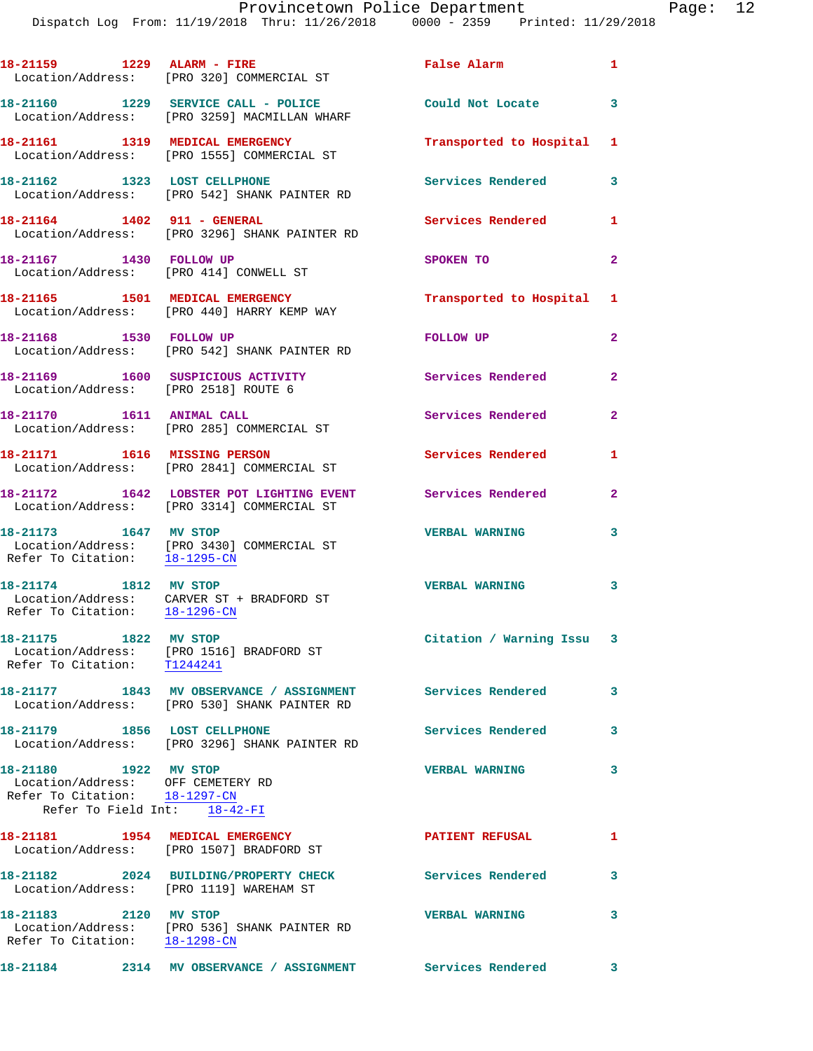|                                                                                                                             | Location/Address: [PRO 320] COMMERCIAL ST                                                                  | False Alarm                       | $\mathbf{1}$               |
|-----------------------------------------------------------------------------------------------------------------------------|------------------------------------------------------------------------------------------------------------|-----------------------------------|----------------------------|
|                                                                                                                             | 18-21160 1229 SERVICE CALL - POLICE<br>Location/Address: [PRO 3259] MACMILLAN WHARF                        | Could Not Locate                  | $\overline{\phantom{a}}$ 3 |
|                                                                                                                             | 18-21161 1319 MEDICAL EMERGENCY<br>Location/Address: [PRO 1555] COMMERCIAL ST                              | Transported to Hospital 1         |                            |
| 18-21162 1323 LOST CELLPHONE                                                                                                | Location/Address: [PRO 542] SHANK PAINTER RD                                                               | Services Rendered                 | $\overline{\mathbf{3}}$    |
| 18-21164    1402    911 - GENERAL                                                                                           | Location/Address: [PRO 3296] SHANK PAINTER RD                                                              | Services Rendered                 | 1                          |
| 18-21167 1430 FOLLOW UP                                                                                                     | Location/Address: [PRO 414] CONWELL ST                                                                     | SPOKEN TO                         | $\overline{2}$             |
|                                                                                                                             | 18-21165 1501 MEDICAL EMERGENCY<br>Location/Address: [PRO 440] HARRY KEMP WAY                              | Transported to Hospital 1         |                            |
| 18-21168 1530 FOLLOW UP                                                                                                     | Location/Address: [PRO 542] SHANK PAINTER RD                                                               | <b>FOLLOW UP</b>                  | $\overline{2}$             |
|                                                                                                                             | 18-21169 1600 SUSPICIOUS ACTIVITY<br>Location/Address: [PRO 2518] ROUTE 6                                  | Services Rendered                 | $\mathbf{2}$               |
| 18-21170   1611   ANIMAL CALL                                                                                               | Location/Address: [PRO 285] COMMERCIAL ST                                                                  | Services Rendered                 | $\mathbf{2}$               |
|                                                                                                                             | 18-21171 1616 MISSING PERSON<br>Location/Address: [PRO 2841] COMMERCIAL ST                                 | Services Rendered                 | $\mathbf{1}$               |
|                                                                                                                             | 18-21172 1642 LOBSTER POT LIGHTING EVENT<br>Location/Address: [PRO 3314] COMMERCIAL ST                     | <b>Services Rendered</b>          | $\mathbf{2}$               |
| 18-21173 1647 MV STOP<br>Refer To Citation: 18-1295-CN                                                                      | Location/Address: [PRO 3430] COMMERCIAL ST                                                                 | <b>VERBAL WARNING</b>             | 3                          |
| 18-21174 1812 MV STOP                                                                                                       | Location/Address: CARVER ST + BRADFORD ST<br>Refer To Citation: $\frac{18-1296-CN}{\sqrt{16}}$             | <b>VERBAL WARNING</b><br>$\sim$ 3 |                            |
| 18-21175 1822 MV STOP<br>Refer To Citation: T1244241                                                                        | Location/Address: [PRO 1516] BRADFORD ST                                                                   | Citation / Warning Issu 3         |                            |
|                                                                                                                             | 18-21177 1843 MV OBSERVANCE / ASSIGNMENT Services Rendered<br>Location/Address: [PRO 530] SHANK PAINTER RD |                                   | 3                          |
| 18-21179 1856 LOST CELLPHONE                                                                                                | Location/Address: [PRO 3296] SHANK PAINTER RD                                                              | Services Rendered                 | 3                          |
| 18-21180 1922 MV STOP<br>Location/Address: OFF CEMETERY RD<br>Refer To Citation: 18-1297-CN<br>Refer To Field Int: 18-42-FI |                                                                                                            | <b>VERBAL WARNING</b>             | 3                          |
| 18-21181 1954 MEDICAL EMERGENCY                                                                                             | Location/Address: [PRO 1507] BRADFORD ST                                                                   | <b>PATIENT REFUSAL</b>            | $\mathbf{1}$               |
| Location/Address: [PRO 1119] WAREHAM ST                                                                                     | 18-21182 2024 BUILDING/PROPERTY CHECK                                                                      | <b>Services Rendered</b>          | 3                          |
| 18-21183 2120 MV STOP<br>Refer To Citation: 18-1298-CN                                                                      | Location/Address: [PRO 536] SHANK PAINTER RD                                                               | <b>VERBAL WARNING</b>             | 3                          |
| 18-21184                                                                                                                    | 2314 MV OBSERVANCE / ASSIGNMENT Services Rendered                                                          |                                   | 3                          |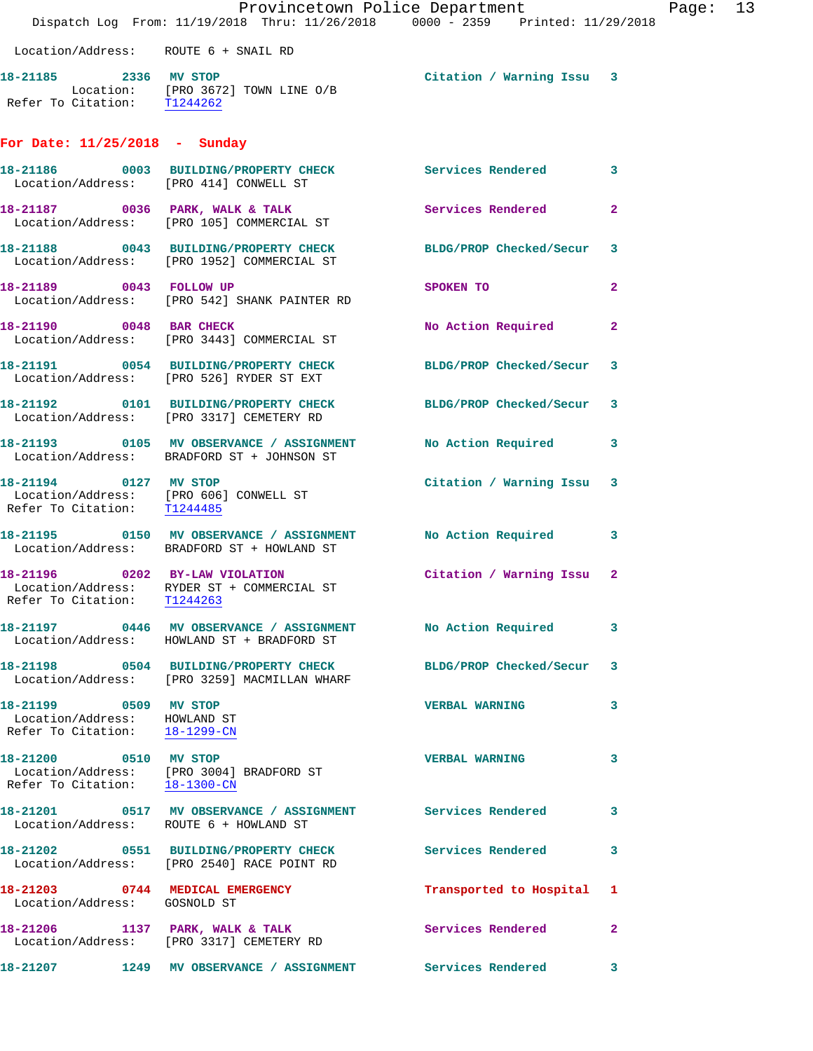|                                                                                        | Provincetown Police Department<br>Dispatch Log From: 11/19/2018 Thru: 11/26/2018 0000 - 2359 Printed: 11/29/2018 |                           |                |
|----------------------------------------------------------------------------------------|------------------------------------------------------------------------------------------------------------------|---------------------------|----------------|
| Location/Address: ROUTE 6 + SNAIL RD                                                   |                                                                                                                  |                           |                |
| 18-21185 2336 MV STOP                                                                  | Location: [PRO 3672] TOWN LINE O/B<br>Refer To Citation: T1244262                                                | Citation / Warning Issu 3 |                |
| For Date: $11/25/2018$ - Sunday                                                        |                                                                                                                  |                           |                |
|                                                                                        | 18-21186 0003 BUILDING/PROPERTY CHECK Services Rendered<br>Location/Address: [PRO 414] CONWELL ST                |                           | 3              |
|                                                                                        | 18-21187 0036 PARK, WALK & TALK<br>Location/Address: [PRO 105] COMMERCIAL ST                                     | Services Rendered         | $\mathbf{2}$   |
|                                                                                        | 18-21188 0043 BUILDING/PROPERTY CHECK BLDG/PROP Checked/Secur<br>Location/Address: [PRO 1952] COMMERCIAL ST      |                           | 3              |
| 18-21189 0043 FOLLOW UP                                                                | Location/Address: [PRO 542] SHANK PAINTER RD                                                                     | SPOKEN TO                 | $\mathbf{2}$   |
| 18-21190 0048 BAR CHECK                                                                | Location/Address: [PRO 3443] COMMERCIAL ST                                                                       | No Action Required        | $\overline{2}$ |
|                                                                                        | 18-21191 0054 BUILDING/PROPERTY CHECK BLDG/PROP Checked/Secur<br>Location/Address: [PRO 526] RYDER ST EXT        |                           | 3              |
|                                                                                        | 18-21192 0101 BUILDING/PROPERTY CHECK BLDG/PROP Checked/Secur<br>Location/Address: [PRO 3317] CEMETERY RD        |                           | 3              |
|                                                                                        | 18-21193 0105 MV OBSERVANCE / ASSIGNMENT No Action Required<br>Location/Address: BRADFORD ST + JOHNSON ST        |                           | 3              |
| 18-21194 0127 MV STOP                                                                  | Location/Address: [PRO 606] CONWELL ST<br>Refer To Citation: T1244485                                            | Citation / Warning Issu   | 3              |
|                                                                                        |                                                                                                                  |                           | 3              |
| 18-21196 0202 BY-LAW VIOLATION<br>Refer To Citation:                                   | Location/Address: RYDER ST + COMMERCIAL ST<br>T1244263                                                           | Citation / Warning Issu 2 |                |
|                                                                                        | 18-21197 0446 MV OBSERVANCE / ASSIGNMENT<br>Location/Address: HOWLAND ST + BRADFORD ST                           | <b>No Action Required</b> | 3              |
|                                                                                        | 18-21198 0504 BUILDING/PROPERTY CHECK BLDG/PROP Checked/Secur<br>Location/Address: [PRO 3259] MACMILLAN WHARF    |                           | 3              |
| 18-21199 0509 MV STOP<br>Location/Address: HOWLAND ST<br>Refer To Citation: 18-1299-CN |                                                                                                                  | <b>VERBAL WARNING</b>     | 3              |
| Refer To Citation: 18-1300-CN                                                          | 18-21200 0510 MV STOP<br>Location/Address: [PRO 3004] BRADFORD ST                                                | <b>VERBAL WARNING</b>     | 3              |
| Location/Address: ROUTE 6 + HOWLAND ST                                                 | 18-21201 0517 MV OBSERVANCE / ASSIGNMENT Services Rendered                                                       |                           | 3              |
|                                                                                        | 18-21202 0551 BUILDING/PROPERTY CHECK<br>Location/Address: [PRO 2540] RACE POINT RD                              | <b>Services Rendered</b>  | 3              |
| 18-21203 0744 MEDICAL EMERGENCY<br>Location/Address: GOSNOLD ST                        |                                                                                                                  | Transported to Hospital   | 1              |
|                                                                                        | 18-21206 1137 PARK, WALK & TALK<br>Location/Address: [PRO 3317] CEMETERY RD                                      | Services Rendered         | 2              |
|                                                                                        | 18-21207 1249 MV OBSERVANCE / ASSIGNMENT                                                                         | Services Rendered         | 3              |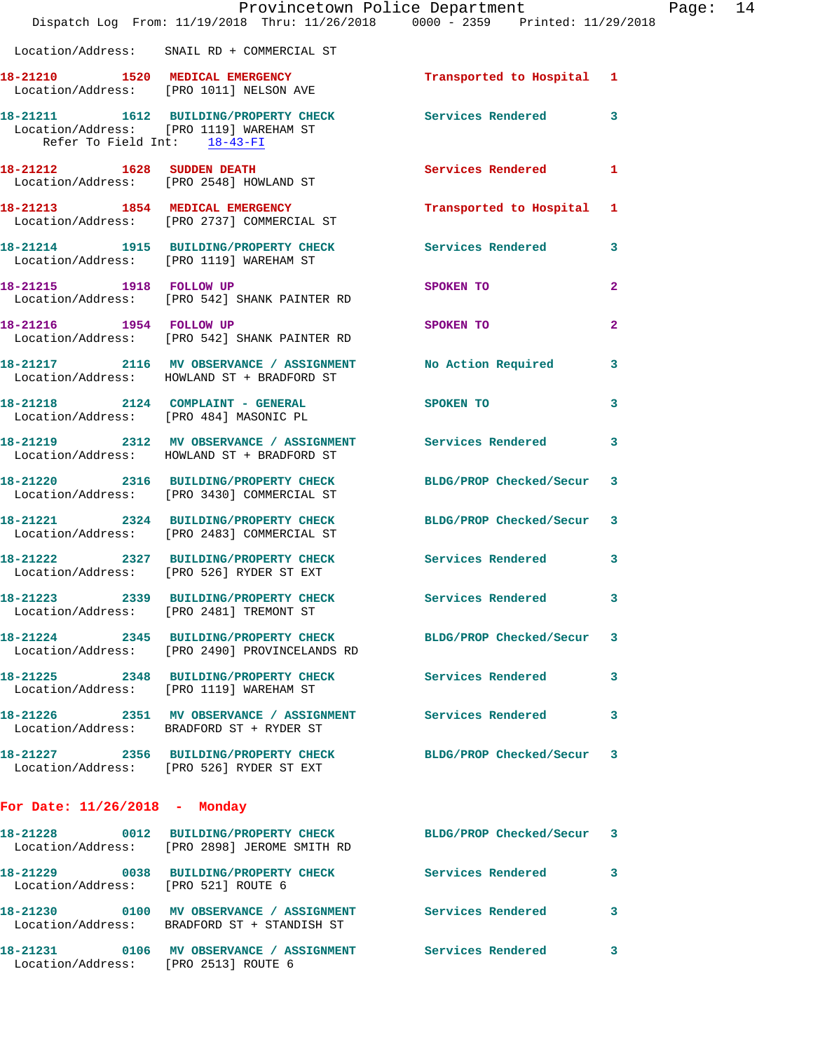|                                     | Provincetown Police Department<br>Dispatch Log From: 11/19/2018 Thru: 11/26/2018 0000 - 2359 Printed: 11/29/2018 |                          |                         |
|-------------------------------------|------------------------------------------------------------------------------------------------------------------|--------------------------|-------------------------|
|                                     | Location/Address: SNAIL RD + COMMERCIAL ST                                                                       |                          |                         |
|                                     | 18-21210 1520 MEDICAL EMERGENCY<br>Location/Address: [PRO 1011] NELSON AVE                                       | Transported to Hospital  | 1                       |
| Refer To Field Int: 18-43-FI        | 18-21211 1612 BUILDING/PROPERTY CHECK<br>Location/Address: [PRO 1119] WAREHAM ST                                 | Services Rendered        | 3                       |
|                                     | 18-21212 1628 SUDDEN DEATH<br>Location/Address: [PRO 2548] HOWLAND ST                                            | Services Rendered        | 1                       |
|                                     | 18-21213 1854 MEDICAL EMERGENCY<br>Location/Address: [PRO 2737] COMMERCIAL ST                                    | Transported to Hospital  | 1                       |
|                                     | 18-21214 1915 BUILDING/PROPERTY CHECK<br>Location/Address: [PRO 1119] WAREHAM ST                                 | <b>Services Rendered</b> | 3                       |
| 18-21215 1918 FOLLOW UP             | Location/Address: [PRO 542] SHANK PAINTER RD                                                                     | SPOKEN TO                | $\overline{\mathbf{2}}$ |
|                                     | 18-21216 1954 FOLLOW UP<br>Location/Address: [PRO 542] SHANK PAINTER RD                                          | SPOKEN TO                | $\overline{2}$          |
|                                     | 18-21217 2116 MV OBSERVANCE / ASSIGNMENT<br>Location/Address: HOWLAND ST + BRADFORD ST                           | No Action Required       | 3                       |
|                                     | 18-21218 2124 COMPLAINT - GENERAL<br>Location/Address: [PRO 484] MASONIC PL                                      | SPOKEN TO                | 3                       |
|                                     | 18-21219 2312 MV OBSERVANCE / ASSIGNMENT Services Rendered<br>Location/Address: HOWLAND ST + BRADFORD ST         |                          | 3                       |
|                                     | 18-21220 2316 BUILDING/PROPERTY CHECK<br>Location/Address: [PRO 3430] COMMERCIAL ST                              | BLDG/PROP Checked/Secur  | 3                       |
|                                     | 18-21221 2324 BUILDING/PROPERTY CHECK<br>Location/Address: [PRO 2483] COMMERCIAL ST                              | BLDG/PROP Checked/Secur  | 3                       |
|                                     | 18-21222 2327 BUILDING/PROPERTY CHECK<br>Location/Address: [PRO 526] RYDER ST EXT                                | Services Rendered        | 3                       |
| 18-21223                            | 2339 BUILDING/PROPERTY CHECK Services Rendered<br>Location/Address: [PRO 2481] TREMONT ST                        |                          | 3                       |
|                                     | 18-21224 2345 BUILDING/PROPERTY CHECK<br>Location/Address: [PRO 2490] PROVINCELANDS RD                           | BLDG/PROP Checked/Secur  | 3                       |
|                                     | 18-21225 2348 BUILDING/PROPERTY CHECK<br>Location/Address: [PRO 1119] WAREHAM ST                                 | <b>Services Rendered</b> | 3                       |
|                                     | 18-21226 2351 MV OBSERVANCE / ASSIGNMENT Services Rendered<br>Location/Address: BRADFORD ST + RYDER ST           |                          | 3                       |
|                                     | 18-21227 2356 BUILDING/PROPERTY CHECK<br>Location/Address: [PRO 526] RYDER ST EXT                                | BLDG/PROP Checked/Secur  | 3                       |
| For Date: $11/26/2018$ - Monday     |                                                                                                                  |                          |                         |
|                                     | 18-21228 0012 BUILDING/PROPERTY CHECK<br>Location/Address: [PRO 2898] JEROME SMITH RD                            | BLDG/PROP Checked/Secur  | 3                       |
| Location/Address: [PRO 521] ROUTE 6 | 18-21229 0038 BUILDING/PROPERTY CHECK                                                                            | <b>Services Rendered</b> | 3                       |
|                                     | Location/Address: BRADFORD ST + STANDISH ST                                                                      |                          | 3                       |
|                                     | 18-21231  0106 MV OBSERVANCE / ASSIGNMENT Services Rendered                                                      |                          | 3                       |

Location/Address: [PRO 2513] ROUTE 6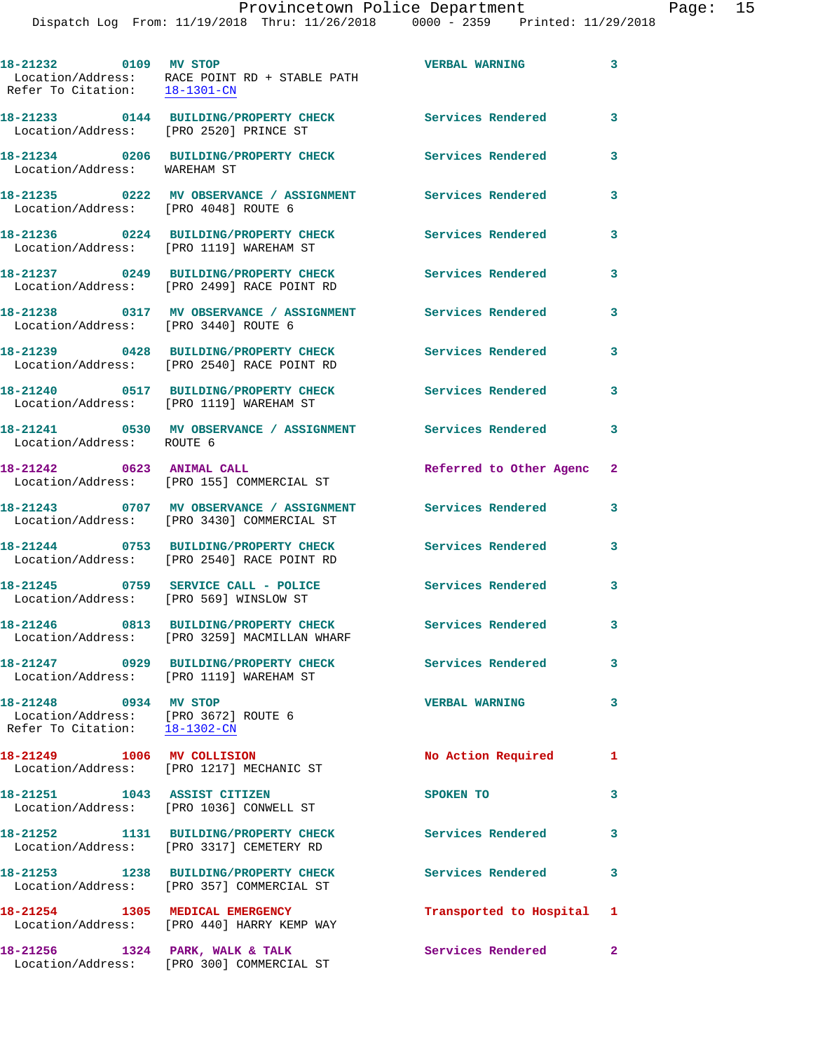| 18-21232 0109 MV STOP                                                                          | Location/Address: RACE POINT RD + STABLE PATH<br>Refer To Citation: $\frac{18-1301-CN}{\pi}$ | <b>VERBAL WARNING</b>     | 3            |
|------------------------------------------------------------------------------------------------|----------------------------------------------------------------------------------------------|---------------------------|--------------|
| Location/Address: [PRO 2520] PRINCE ST                                                         | 18-21233 0144 BUILDING/PROPERTY CHECK                                                        | <b>Services Rendered</b>  | $\mathbf{3}$ |
| Location/Address: WAREHAM ST                                                                   | 18-21234 0206 BUILDING/PROPERTY CHECK                                                        | Services Rendered         | 3            |
| Location/Address: [PRO 4048] ROUTE 6                                                           | 18-21235 0222 MV OBSERVANCE / ASSIGNMENT Services Rendered                                   |                           | 3            |
|                                                                                                | 18-21236 0224 BUILDING/PROPERTY CHECK<br>Location/Address: [PRO 1119] WAREHAM ST             | <b>Services Rendered</b>  | 3            |
|                                                                                                | 18-21237 0249 BUILDING/PROPERTY CHECK<br>Location/Address: [PRO 2499] RACE POINT RD          | Services Rendered         | 3            |
| Location/Address: [PRO 3440] ROUTE 6                                                           | 18-21238 0317 MV OBSERVANCE / ASSIGNMENT                                                     | <b>Services Rendered</b>  | 3            |
|                                                                                                | 18-21239 0428 BUILDING/PROPERTY CHECK<br>Location/Address: [PRO 2540] RACE POINT RD          | Services Rendered         | 3            |
|                                                                                                | 18-21240 0517 BUILDING/PROPERTY CHECK<br>Location/Address: [PRO 1119] WAREHAM ST             | <b>Services Rendered</b>  | 3            |
| Location/Address: ROUTE 6                                                                      | 18-21241 0530 MV OBSERVANCE / ASSIGNMENT Services Rendered                                   |                           | 3            |
| 18-21242 0623 ANIMAL CALL                                                                      | Location/Address: [PRO 155] COMMERCIAL ST                                                    | Referred to Other Agenc   | $\mathbf{2}$ |
|                                                                                                | 18-21243 0707 MV OBSERVANCE / ASSIGNMENT<br>Location/Address: [PRO 3430] COMMERCIAL ST       | <b>Services Rendered</b>  | 3            |
|                                                                                                | 18-21244 0753 BUILDING/PROPERTY CHECK<br>Location/Address: [PRO 2540] RACE POINT RD          | Services Rendered         | 3            |
| Location/Address: [PRO 569] WINSLOW ST                                                         | 18-21245 0759 SERVICE CALL - POLICE                                                          | Services Rendered         | 3            |
|                                                                                                | 18-21246 0813 BUILDING/PROPERTY CHECK<br>Location/Address: [PRO 3259] MACMILLAN WHARF        | Services Rendered         | 3            |
|                                                                                                | 18-21247 0929 BUILDING/PROPERTY CHECK<br>Location/Address: [PRO 1119] WAREHAM ST             | Services Rendered         | 3            |
| 18-21248 0934 MV STOP<br>Location/Address: [PRO 3672] ROUTE 6<br>Refer To Citation: 18-1302-CM |                                                                                              | <b>VERBAL WARNING</b>     | 3            |
|                                                                                                | 18-21249 1006 MV COLLISION<br>Location/Address: [PRO 1217] MECHANIC ST                       | No Action Required        | 1            |
| 18-21251 1043 ASSIST CITIZEN                                                                   | Location/Address: [PRO 1036] CONWELL ST                                                      | SPOKEN TO                 | 3            |
|                                                                                                | 18-21252 1131 BUILDING/PROPERTY CHECK<br>Location/Address: [PRO 3317] CEMETERY RD            | <b>Services Rendered</b>  | 3            |
|                                                                                                | 18-21253 1238 BUILDING/PROPERTY CHECK<br>Location/Address: [PRO 357] COMMERCIAL ST           | Services Rendered         | 3            |
|                                                                                                | 18-21254 1305 MEDICAL EMERGENCY<br>Location/Address: [PRO 440] HARRY KEMP WAY                | Transported to Hospital 1 |              |
|                                                                                                | 18-21256 1324 PARK, WALK & TALK                                                              | Services Rendered 2       |              |

Location/Address: [PRO 300] COMMERCIAL ST